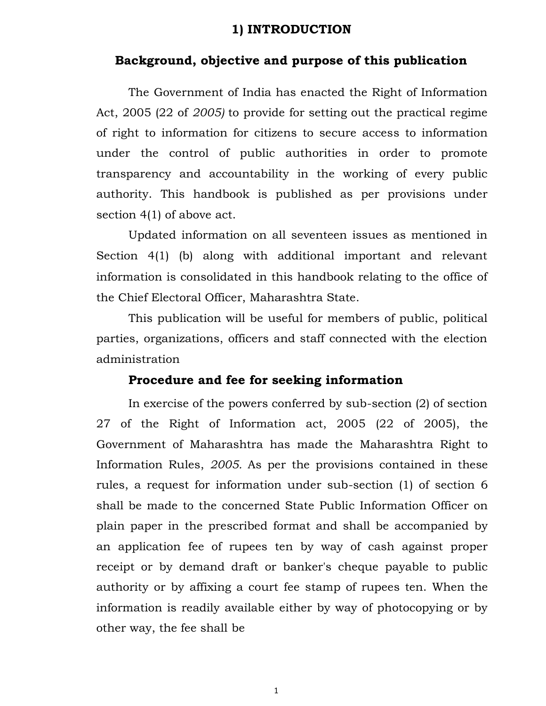#### **1) INTRODUCTION**

#### **Background, objective and purpose of this publication**

The Government of India has enacted the Right of Information Act, 2005 (22 of *2005)* to provide for setting out the practical regime of right to information for citizens to secure access to information under the control of public authorities in order to promote transparency and accountability in the working of every public authority. This handbook is published as per provisions under section 4(1) of above act.

Updated information on all seventeen issues as mentioned in Section 4(1) (b) along with additional important and relevant information is consolidated in this handbook relating to the office of the Chief Electoral Officer, Maharashtra State.

This publication will be useful for members of public, political parties, organizations, officers and staff connected with the election administration

#### **Procedure and fee for seeking information**

In exercise of the powers conferred by sub-section (2) of section 27 of the Right of Information act, 2005 (22 of 2005), the Government of Maharashtra has made the Maharashtra Right to Information Rules, *2005.* As per the provisions contained in these rules, a request for information under sub-section (1) of section 6 shall be made to the concerned State Public Information Officer on plain paper in the prescribed format and shall be accompanied by an application fee of rupees ten by way of cash against proper receipt or by demand draft or banker's cheque payable to public authority or by affixing a court fee stamp of rupees ten. When the information is readily available either by way of photocopying or by other way, the fee shall be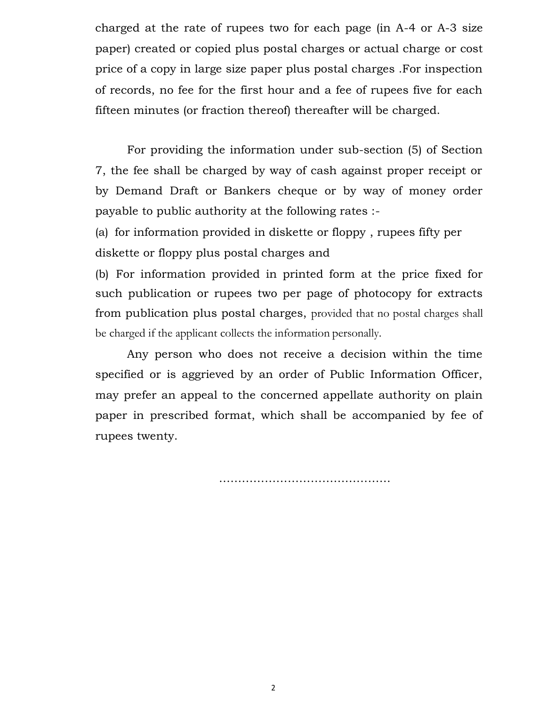charged at the rate of rupees two for each page (in A-4 or A-3 size paper) created or copied plus postal charges or actual charge or cost price of a copy in large size paper plus postal charges .For inspection of records, no fee for the first hour and a fee of rupees five for each fifteen minutes (or fraction thereof) thereafter will be charged.

For providing the information under sub-section (5) of Section 7, the fee shall be charged by way of cash against proper receipt or by Demand Draft or Bankers cheque or by way of money order payable to public authority at the following rates :-

(a) for information provided in diskette or floppy , rupees fifty per diskette or floppy plus postal charges and

(b) For information provided in printed form at the price fixed for such publication or rupees two per page of photocopy for extracts from publication plus postal charges, provided that no postal charges shall be charged if the applicant collects the information personally.

Any person who does not receive a decision within the time specified or is aggrieved by an order of Public Information Officer, may prefer an appeal to the concerned appellate authority on plain paper in prescribed format, which shall be accompanied by fee of rupees twenty.

………………………………………………………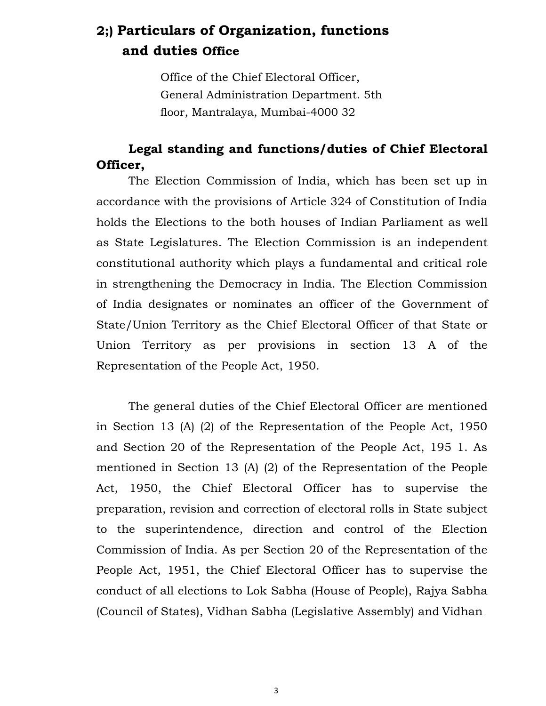# **2;) Particulars of Organization, functions and duties Office**

Office of the Chief Electoral Officer, General Administration Department. 5th floor, Mantralaya, Mumbai-4000 32

## **Legal standing and functions/duties of Chief Electoral Officer,**

The Election Commission of India, which has been set up in accordance with the provisions of Article 324 of Constitution of India holds the Elections to the both houses of Indian Parliament as well as State Legislatures. The Election Commission is an independent constitutional authority which plays a fundamental and critical role in strengthening the Democracy in India. The Election Commission of India designates or nominates an officer of the Government of State/Union Territory as the Chief Electoral Officer of that State or Union Territory as per provisions in section 13 A of the Representation of the People Act, 1950.

The general duties of the Chief Electoral Officer are mentioned in Section 13 (A) (2) of the Representation of the People Act, 1950 and Section 20 of the Representation of the People Act, 195 1. As mentioned in Section 13 (A) (2) of the Representation of the People Act, 1950, the Chief Electoral Officer has to supervise the preparation, revision and correction of electoral rolls in State subject to the superintendence, direction and control of the Election Commission of India. As per Section 20 of the Representation of the People Act, 1951, the Chief Electoral Officer has to supervise the conduct of all elections to Lok Sabha (House of People), Rajya Sabha (Council of States), Vidhan Sabha (Legislative Assembly) and Vidhan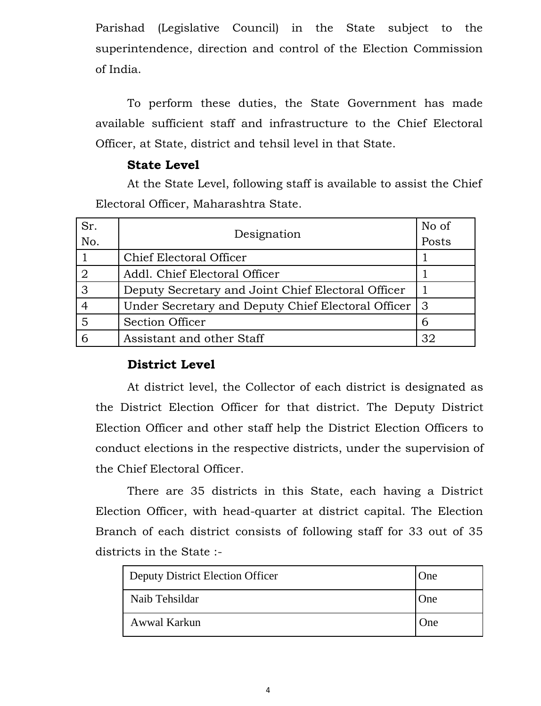Parishad (Legislative Council) in the State subject to the superintendence, direction and control of the Election Commission of India.

To perform these duties, the State Government has made available sufficient staff and infrastructure to the Chief Electoral Officer, at State, district and tehsil level in that State.

### **State Level**

At the State Level, following staff is available to assist the Chief Electoral Officer, Maharashtra State.

| Sr.                     |                                                    | No of |
|-------------------------|----------------------------------------------------|-------|
| No.                     | Designation                                        | Posts |
|                         | Chief Electoral Officer                            |       |
| $\mathcal{D}_{1}^{(1)}$ | Addl. Chief Electoral Officer                      |       |
| 3                       | Deputy Secretary and Joint Chief Electoral Officer |       |
|                         | Under Secretary and Deputy Chief Electoral Officer | 3     |
|                         | <b>Section Officer</b>                             | 6     |
|                         | Assistant and other Staff                          | 32    |

## **District Level**

At district level, the Collector of each district is designated as the District Election Officer for that district. The Deputy District Election Officer and other staff help the District Election Officers to conduct elections in the respective districts, under the supervision of the Chief Electoral Officer.

There are 35 districts in this State, each having a District Election Officer, with head-quarter at district capital. The Election Branch of each district consists of following staff for 33 out of 35 districts in the State :-

| <b>Deputy District Election Officer</b> | One |
|-----------------------------------------|-----|
| Naib Tehsildar                          | One |
| Awwal Karkun                            | One |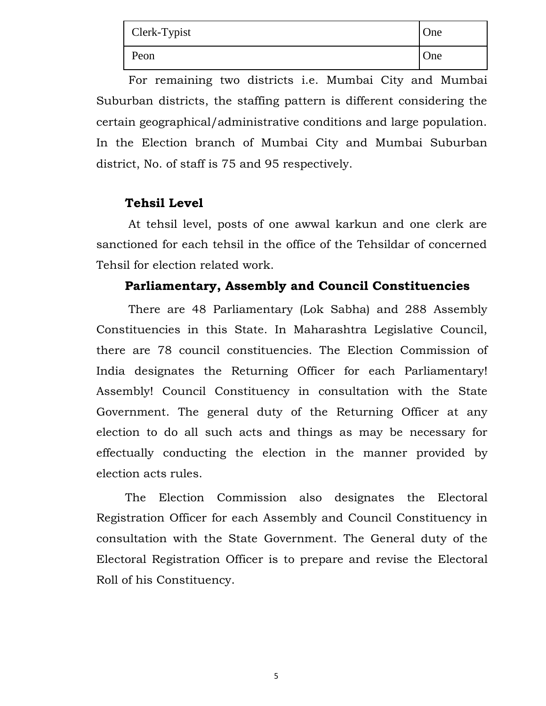| Clerk-Typist | One |
|--------------|-----|
| Peon         | One |

For remaining two districts i.e. Mumbai City and Mumbai Suburban districts, the staffing pattern is different considering the certain geographical/administrative conditions and large population. In the Election branch of Mumbai City and Mumbai Suburban district, No. of staff is 75 and 95 respectively.

### **Tehsil Level**

At tehsil level, posts of one awwal karkun and one clerk are sanctioned for each tehsil in the office of the Tehsildar of concerned Tehsil for election related work.

### **Parliamentary, Assembly and Council Constituencies**

There are 48 Parliamentary (Lok Sabha) and 288 Assembly Constituencies in this State. In Maharashtra Legislative Council, there are 78 council constituencies. The Election Commission of India designates the Returning Officer for each Parliamentary! Assembly! Council Constituency in consultation with the State Government. The general duty of the Returning Officer at any election to do all such acts and things as may be necessary for effectually conducting the election in the manner provided by election acts rules.

The Election Commission also designates the Electoral Registration Officer for each Assembly and Council Constituency in consultation with the State Government. The General duty of the Electoral Registration Officer is to prepare and revise the Electoral Roll of his Constituency.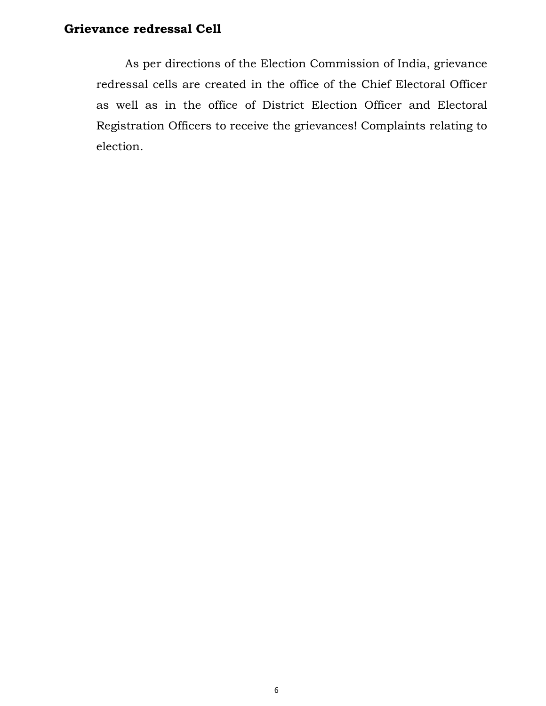## **Grievance redressal Cell**

As per directions of the Election Commission of India, grievance redressal cells are created in the office of the Chief Electoral Officer as well as in the office of District Election Officer and Electoral Registration Officers to receive the grievances! Complaints relating to election.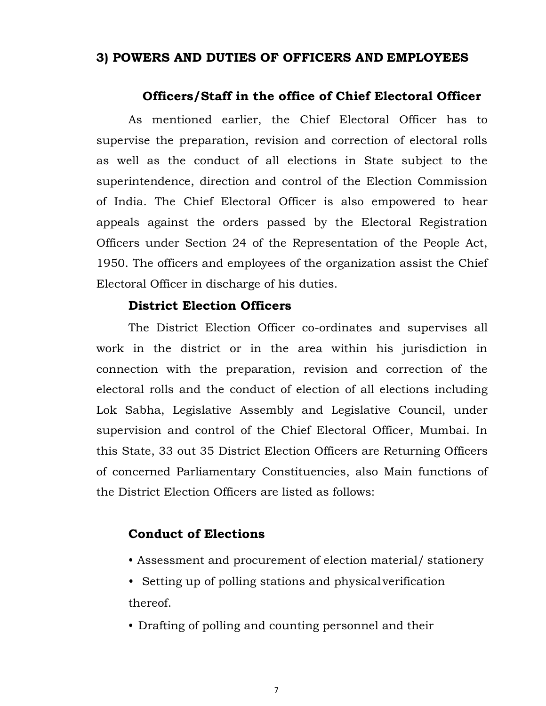#### **3) POWERS AND DUTIES OF OFFICERS AND EMPLOYEES**

#### **Officers/Staff in the office of Chief Electoral Officer**

As mentioned earlier, the Chief Electoral Officer has to supervise the preparation, revision and correction of electoral rolls as well as the conduct of all elections in State subject to the superintendence, direction and control of the Election Commission of India. The Chief Electoral Officer is also empowered to hear appeals against the orders passed by the Electoral Registration Officers under Section 24 of the Representation of the People Act, 1950. The officers and employees of the organization assist the Chief Electoral Officer in discharge of his duties.

#### **District Election Officers**

The District Election Officer co-ordinates and supervises all work in the district or in the area within his jurisdiction in connection with the preparation, revision and correction of the electoral rolls and the conduct of election of all elections including Lok Sabha, Legislative Assembly and Legislative Council, under supervision and control of the Chief Electoral Officer, Mumbai. In this State, 33 out 35 District Election Officers are Returning Officers of concerned Parliamentary Constituencies, also Main functions of the District Election Officers are listed as follows:

#### **Conduct of Elections**

- Assessment and procurement of election material/ stationery
- Setting up of polling stations and physical verification thereof.
- Drafting of polling and counting personnel and their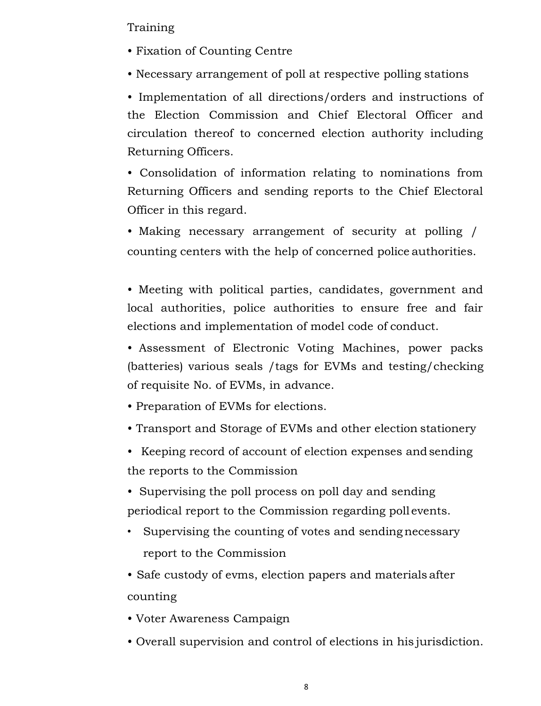### Training

- Fixation of Counting Centre
- Necessary arrangement of poll at respective polling stations

• Implementation of all directions/orders and instructions of the Election Commission and Chief Electoral Officer and circulation thereof to concerned election authority including Returning Officers.

• Consolidation of information relating to nominations from Returning Officers and sending reports to the Chief Electoral Officer in this regard.

• Making necessary arrangement of security at polling / counting centers with the help of concerned police authorities.

• Meeting with political parties, candidates, government and local authorities, police authorities to ensure free and fair elections and implementation of model code of conduct.

• Assessment of Electronic Voting Machines, power packs (batteries) various seals /tags for EVMs and testing/checking of requisite No. of EVMs, in advance.

- Preparation of EVMs for elections.
- Transport and Storage of EVMs and other election stationery
- Keeping record of account of election expenses and sending the reports to the Commission

• Supervising the poll process on poll day and sending periodical report to the Commission regarding poll events.

Supervising the counting of votes and sendingnecessary report to the Commission

• Safe custody of evms, election papers and materials after counting

- Voter Awareness Campaign
- Overall supervision and control of elections in his jurisdiction.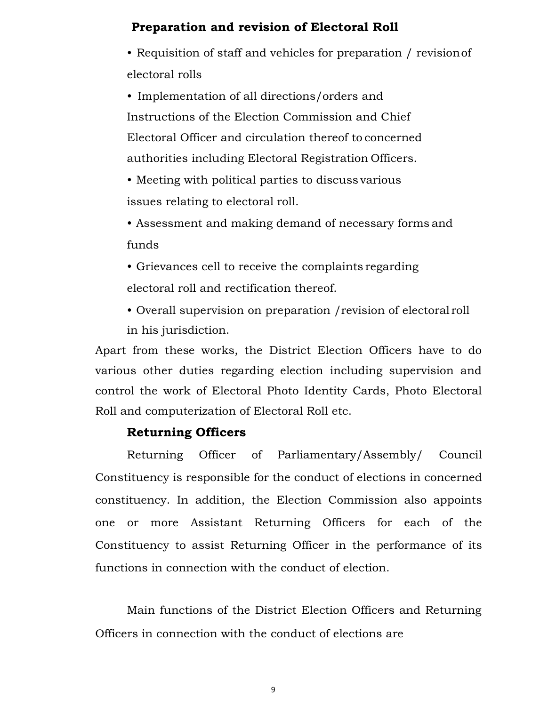## **Preparation and revision of Electoral Roll**

• Requisition of staff and vehicles for preparation / revisionof electoral rolls

• Implementation of all directions/orders and Instructions of the Election Commission and Chief Electoral Officer and circulation thereof to concerned authorities including Electoral Registration Officers.

- Meeting with political parties to discuss various issues relating to electoral roll.
- Assessment and making demand of necessary forms and funds
- Grievances cell to receive the complaints regarding electoral roll and rectification thereof.
- Overall supervision on preparation /revision of electoral roll in his jurisdiction.

Apart from these works, the District Election Officers have to do various other duties regarding election including supervision and control the work of Electoral Photo Identity Cards, Photo Electoral Roll and computerization of Electoral Roll etc.

#### **Returning Officers**

Returning Officer of Parliamentary/Assembly/ Council Constituency is responsible for the conduct of elections in concerned constituency. In addition, the Election Commission also appoints one or more Assistant Returning Officers for each of the Constituency to assist Returning Officer in the performance of its functions in connection with the conduct of election.

Main functions of the District Election Officers and Returning Officers in connection with the conduct of elections are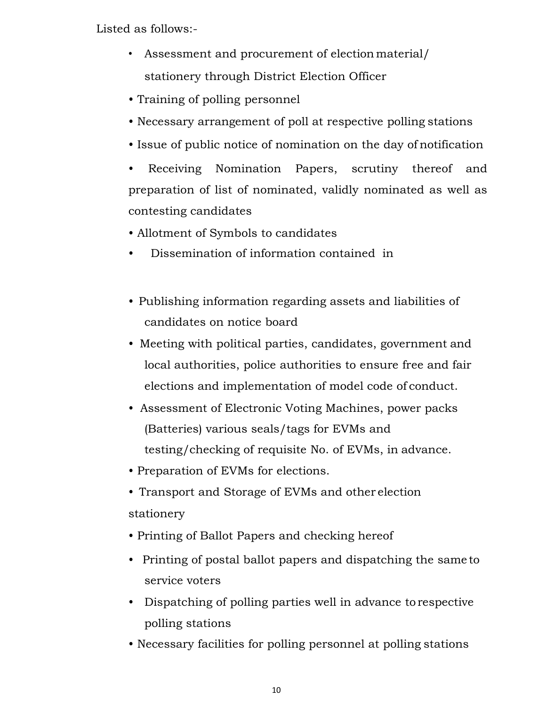Listed as follows:-

- Assessment and procurement of election material/ stationery through District Election Officer
- Training of polling personnel
- Necessary arrangement of poll at respective polling stations
- Issue of public notice of nomination on the day of notification
- Receiving Nomination Papers, scrutiny thereof and preparation of list of nominated, validly nominated as well as contesting candidates
- Allotment of Symbols to candidates
- Dissemination of information contained in
- Publishing information regarding assets and liabilities of candidates on notice board
- Meeting with political parties, candidates, government and local authorities, police authorities to ensure free and fair elections and implementation of model code of conduct.
- Assessment of Electronic Voting Machines, power packs (Batteries) various seals/tags for EVMs and testing/checking of requisite No. of EVMs, in advance.
- Preparation of EVMs for elections.
- Transport and Storage of EVMs and other election stationery
- Printing of Ballot Papers and checking hereof
- Printing of postal ballot papers and dispatching the same to service voters
- Dispatching of polling parties well in advance torespective polling stations
- Necessary facilities for polling personnel at polling stations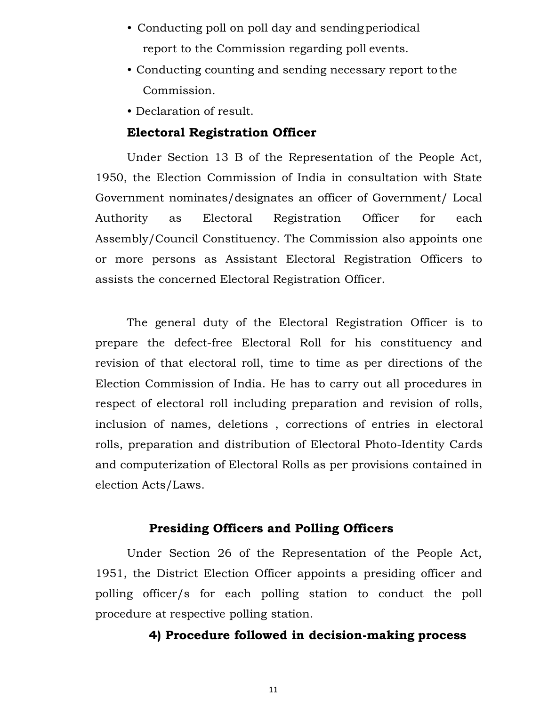- Conducting poll on poll day and sending periodical report to the Commission regarding poll events.
- Conducting counting and sending necessary report to the Commission.
- Declaration of result.

#### **Electoral Registration Officer**

Under Section 13 B of the Representation of the People Act, 1950, the Election Commission of India in consultation with State Government nominates/designates an officer of Government/ Local Authority as Electoral Registration Officer for each Assembly/Council Constituency. The Commission also appoints one or more persons as Assistant Electoral Registration Officers to assists the concerned Electoral Registration Officer.

The general duty of the Electoral Registration Officer is to prepare the defect-free Electoral Roll for his constituency and revision of that electoral roll, time to time as per directions of the Election Commission of India. He has to carry out all procedures in respect of electoral roll including preparation and revision of rolls, inclusion of names, deletions , corrections of entries in electoral rolls, preparation and distribution of Electoral Photo-Identity Cards and computerization of Electoral Rolls as per provisions contained in election Acts/Laws.

#### **Presiding Officers and Polling Officers**

Under Section 26 of the Representation of the People Act, 1951, the District Election Officer appoints a presiding officer and polling officer/s for each polling station to conduct the poll procedure at respective polling station.

#### **4) Procedure followed in decision-making process**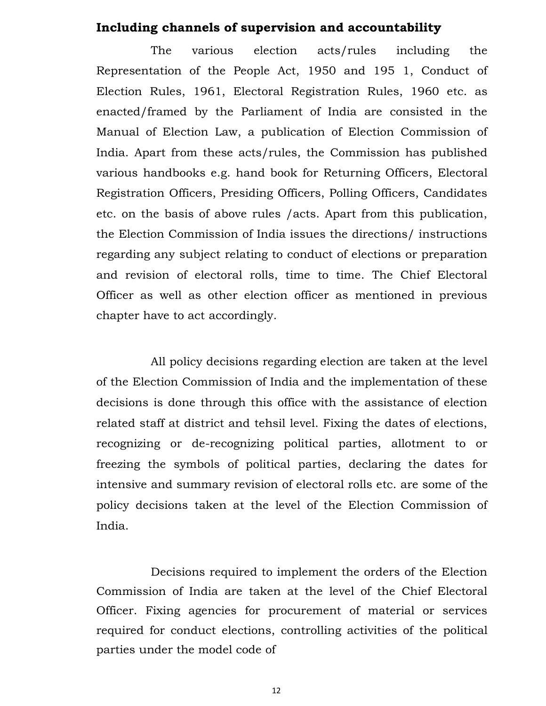#### **Including channels of supervision and accountability**

The various election acts/rules including the Representation of the People Act, 1950 and 195 1, Conduct of Election Rules, 1961, Electoral Registration Rules, 1960 etc. as enacted/framed by the Parliament of India are consisted in the Manual of Election Law, a publication of Election Commission of India. Apart from these acts/rules, the Commission has published various handbooks e.g. hand book for Returning Officers, Electoral Registration Officers, Presiding Officers, Polling Officers, Candidates etc. on the basis of above rules /acts. Apart from this publication, the Election Commission of India issues the directions/ instructions regarding any subject relating to conduct of elections or preparation and revision of electoral rolls, time to time. The Chief Electoral Officer as well as other election officer as mentioned in previous chapter have to act accordingly.

All policy decisions regarding election are taken at the level of the Election Commission of India and the implementation of these decisions is done through this office with the assistance of election related staff at district and tehsil level. Fixing the dates of elections, recognizing or de-recognizing political parties, allotment to or freezing the symbols of political parties, declaring the dates for intensive and summary revision of electoral rolls etc. are some of the policy decisions taken at the level of the Election Commission of India.

Decisions required to implement the orders of the Election Commission of India are taken at the level of the Chief Electoral Officer. Fixing agencies for procurement of material or services required for conduct elections, controlling activities of the political parties under the model code of

12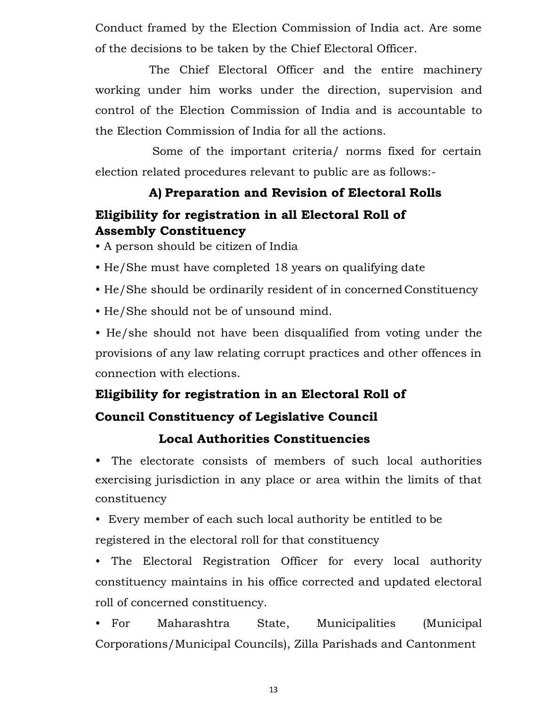Conduct framed by the Election Commission of India act. Are some of the decisions to be taken by the Chief Electoral Officer.

The Chief Electoral Officer and the entire machinery working under him works under the direction, supervision and control of the Election Commission of India and is accountable to the Election Commission of India for all the actions.

Some of the important criteria/ norms fixed for certain election related procedures relevant to public are as follows:-

## **A) Preparation and Revision of Electoral Rolls Eligibility for registration in all Electoral Roll of Assembly Constituency**

- A person should be citizen of India
- He/She must have completed 18 years on qualifying date
- He/She should be ordinarily resident of in concerned Constituency
- He/She should not be of unsound mind.

• He/she should not have been disqualified from voting under the provisions of any law relating corrupt practices and other offences in connection with elections.

## **Eligibility for registration in an Electoral Roll of**

## **Council Constituency of Legislative Council**

## **Local Authorities Constituencies**

• The electorate consists of members of such local authorities exercising jurisdiction in any place or area within the limits of that constituency

• Every member of each such local authority be entitled to be registered in the electoral roll for that constituency

• The Electoral Registration Officer for every local authority constituency maintains in his office corrected and updated electoral roll of concerned constituency.

• For Maharashtra State, Municipalities (Municipal Corporations/Municipal Councils), Zilla Parishads and Cantonment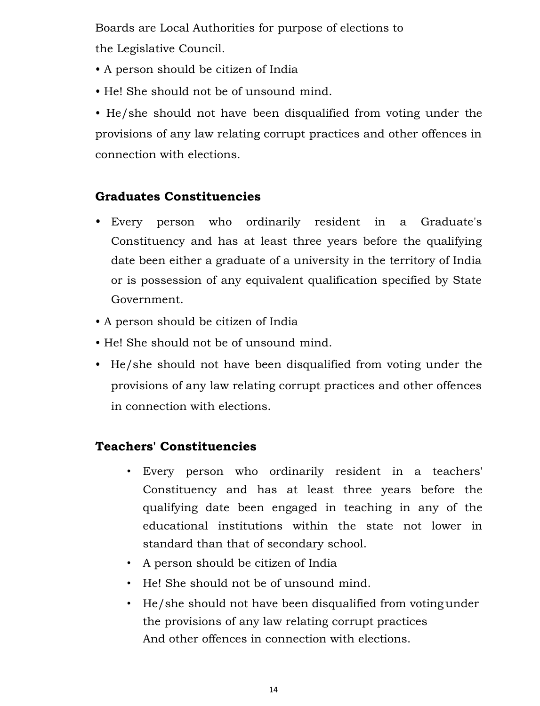Boards are Local Authorities for purpose of elections to the Legislative Council.

- A person should be citizen of India
- He! She should not be of unsound mind.

• He/she should not have been disqualified from voting under the provisions of any law relating corrupt practices and other offences in connection with elections.

## **Graduates Constituencies**

- Every person who ordinarily resident in a Graduate's Constituency and has at least three years before the qualifying date been either a graduate of a university in the territory of India or is possession of any equivalent qualification specified by State Government.
- A person should be citizen of India
- He! She should not be of unsound mind.
- He/she should not have been disqualified from voting under the provisions of any law relating corrupt practices and other offences in connection with elections.

## **Teachers' Constituencies**

- Every person who ordinarily resident in a teachers' Constituency and has at least three years before the qualifying date been engaged in teaching in any of the educational institutions within the state not lower in standard than that of secondary school.
- A person should be citizen of India
- He! She should not be of unsound mind.
- He/she should not have been disqualified from votingunder the provisions of any law relating corrupt practices And other offences in connection with elections.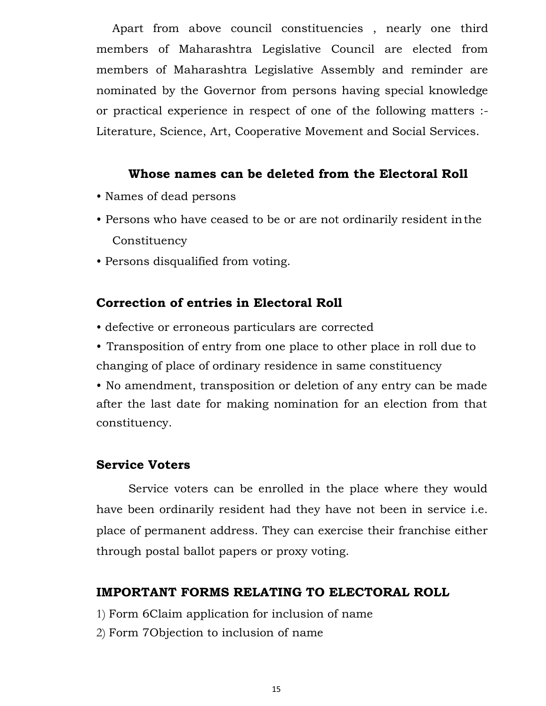Apart from above council constituencies , nearly one third members of Maharashtra Legislative Council are elected from members of Maharashtra Legislative Assembly and reminder are nominated by the Governor from persons having special knowledge or practical experience in respect of one of the following matters :- Literature, Science, Art, Cooperative Movement and Social Services.

#### **Whose names can be deleted from the Electoral Roll**

- Names of dead persons
- Persons who have ceased to be or are not ordinarily resident inthe **Constituency**
- Persons disqualified from voting.

#### **Correction of entries in Electoral Roll**

- defective or erroneous particulars are corrected
- Transposition of entry from one place to other place in roll due to changing of place of ordinary residence in same constituency

• No amendment, transposition or deletion of any entry can be made after the last date for making nomination for an election from that constituency.

#### **Service Voters**

Service voters can be enrolled in the place where they would have been ordinarily resident had they have not been in service i.e. place of permanent address. They can exercise their franchise either through postal ballot papers or proxy voting.

#### **IMPORTANT FORMS RELATING TO ELECTORAL ROLL**

- 1) Form 6Claim application for inclusion of name
- 2) Form 7Objection to inclusion of name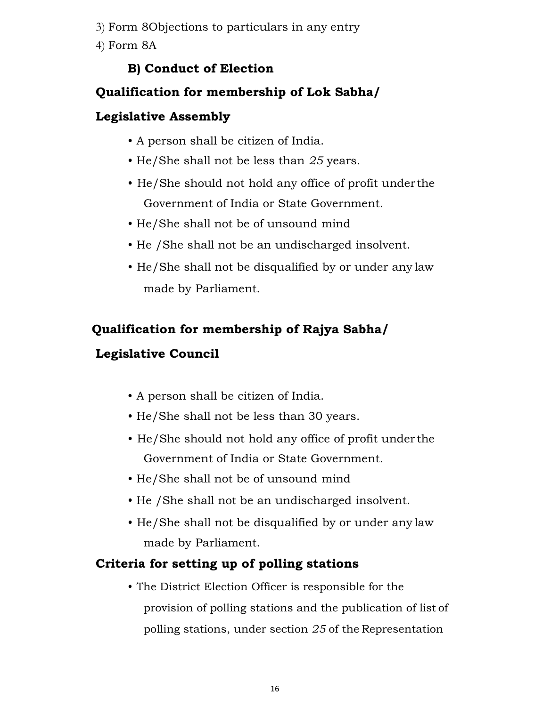- 3) Form 8Objections to particulars in any entry
- 4) Form 8A

# **B) Conduct of Election**

## **Qualification for membership of Lok Sabha/**

## **Legislative Assembly**

- A person shall be citizen of India.
- He/She shall not be less than *25* years.
- He/She should not hold any office of profit under the Government of India or State Government.
- He/She shall not be of unsound mind
- He /She shall not be an undischarged insolvent.
- He/She shall not be disqualified by or under any law made by Parliament.

## **Qualification for membership of Rajya Sabha/**

# **Legislative Council**

- A person shall be citizen of India.
- He/She shall not be less than 30 years.
- He/She should not hold any office of profit under the Government of India or State Government.
- He/She shall not be of unsound mind
- He /She shall not be an undischarged insolvent.
- He/She shall not be disqualified by or under any law made by Parliament.

## **Criteria for setting up of polling stations**

• The District Election Officer is responsible for the provision of polling stations and the publication of list of polling stations, under section *25* of the Representation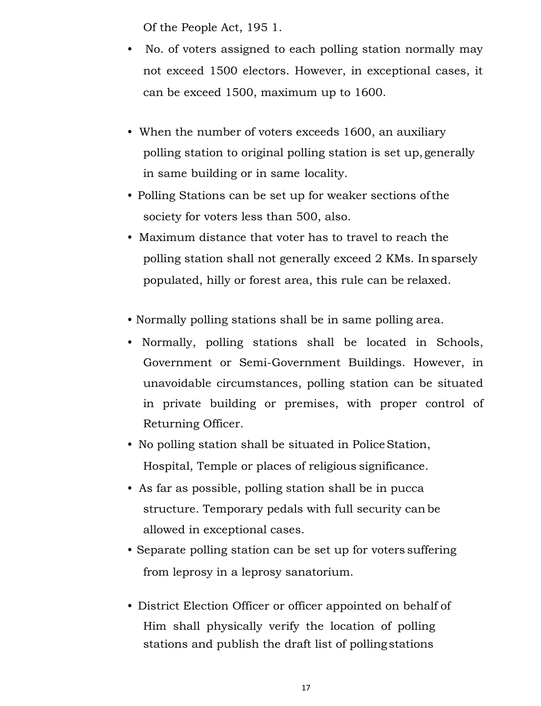Of the People Act, 195 1.

- No. of voters assigned to each polling station normally may not exceed 1500 electors. However, in exceptional cases, it can be exceed 1500, maximum up to 1600.
- When the number of voters exceeds 1600, an auxiliary polling station to original polling station is set up, generally in same building or in same locality.
- Polling Stations can be set up for weaker sections ofthe society for voters less than 500, also.
- Maximum distance that voter has to travel to reach the polling station shall not generally exceed 2 KMs. Insparsely populated, hilly or forest area, this rule can be relaxed.
- Normally polling stations shall be in same polling area.
- Normally, polling stations shall be located in Schools, Government or Semi-Government Buildings. However, in unavoidable circumstances, polling station can be situated in private building or premises, with proper control of Returning Officer.
- No polling station shall be situated in Police Station, Hospital, Temple or places of religious significance.
- As far as possible, polling station shall be in pucca structure. Temporary pedals with full security canbe allowed in exceptional cases.
- Separate polling station can be set up for voters suffering from leprosy in a leprosy sanatorium.
- District Election Officer or officer appointed on behalf of Him shall physically verify the location of polling stations and publish the draft list of polling stations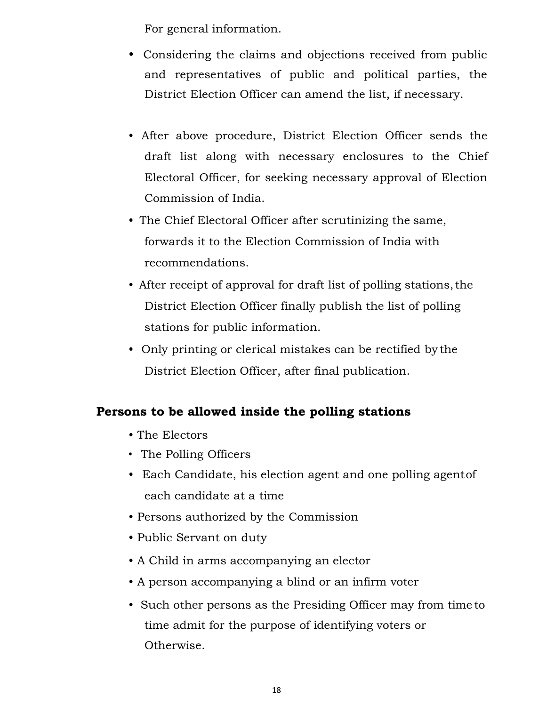For general information.

- Considering the claims and objections received from public and representatives of public and political parties, the District Election Officer can amend the list, if necessary.
- After above procedure, District Election Officer sends the draft list along with necessary enclosures to the Chief Electoral Officer, for seeking necessary approval of Election Commission of India.
- The Chief Electoral Officer after scrutinizing the same, forwards it to the Election Commission of India with recommendations.
- After receipt of approval for draft list of polling stations, the District Election Officer finally publish the list of polling stations for public information.
- Only printing or clerical mistakes can be rectified by the District Election Officer, after final publication.

## **Persons to be allowed inside the polling stations**

- The Electors
- The Polling Officers
- Each Candidate, his election agent and one polling agentof each candidate at a time
- Persons authorized by the Commission
- Public Servant on duty
- A Child in arms accompanying an elector
- A person accompanying a blind or an infirm voter
- Such other persons as the Presiding Officer may from time to time admit for the purpose of identifying voters or Otherwise.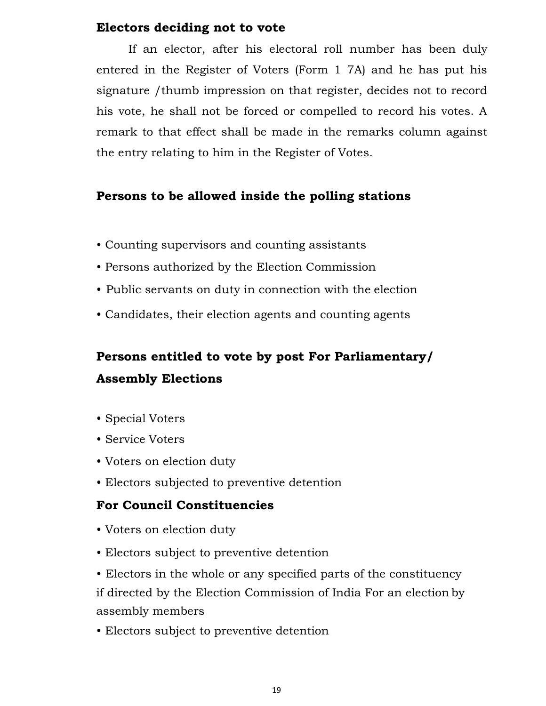### **Electors deciding not to vote**

If an elector, after his electoral roll number has been duly entered in the Register of Voters (Form 1 7A) and he has put his signature /thumb impression on that register, decides not to record his vote, he shall not be forced or compelled to record his votes. A remark to that effect shall be made in the remarks column against the entry relating to him in the Register of Votes.

### **Persons to be allowed inside the polling stations**

- Counting supervisors and counting assistants
- Persons authorized by the Election Commission
- Public servants on duty in connection with the election
- Candidates, their election agents and counting agents

# **Persons entitled to vote by post For Parliamentary/ Assembly Elections**

- Special Voters
- Service Voters
- Voters on election duty
- Electors subjected to preventive detention

### **For Council Constituencies**

- Voters on election duty
- Electors subject to preventive detention

• Electors in the whole or any specified parts of the constituency if directed by the Election Commission of India For an election by assembly members

• Electors subject to preventive detention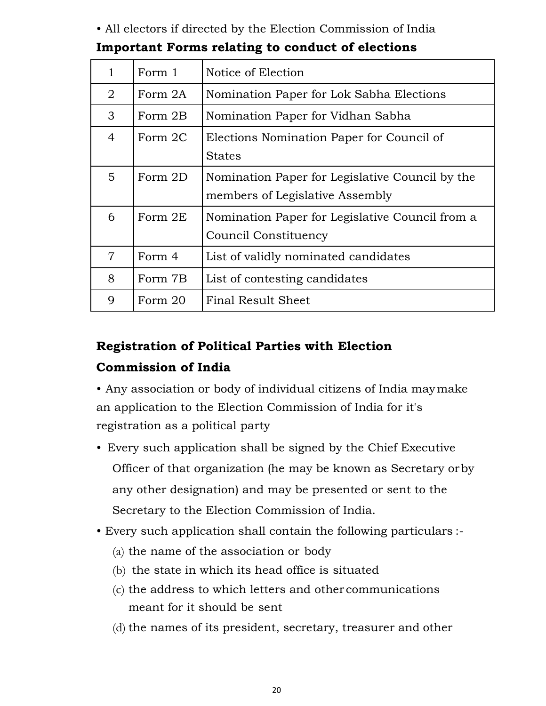• All electors if directed by the Election Commission of India

| $\mathbf{1}$   | Form 1  | Notice of Election                                                                 |
|----------------|---------|------------------------------------------------------------------------------------|
| $\overline{2}$ | Form 2A | Nomination Paper for Lok Sabha Elections                                           |
| 3              | Form 2B | Nomination Paper for Vidhan Sabha                                                  |
| 4              | Form 2C | Elections Nomination Paper for Council of<br><b>States</b>                         |
| $\overline{5}$ | Form 2D | Nomination Paper for Legislative Council by the<br>members of Legislative Assembly |
| 6              | Form 2E | Nomination Paper for Legislative Council from a<br>Council Constituency            |
| $\overline{7}$ | Form 4  | List of validly nominated candidates                                               |
| 8              | Form 7B | List of contesting candidates                                                      |
| 9              | Form 20 | Final Result Sheet                                                                 |

**Important Forms relating to conduct of elections**

## **Registration of Political Parties with Election**

## **Commission of India**

• Any association or body of individual citizens of India maymake an application to the Election Commission of India for it's registration as a political party

- Every such application shall be signed by the Chief Executive Officer of that organization (he may be known as Secretary orby any other designation) and may be presented or sent to the Secretary to the Election Commission of India.
- Every such application shall contain the following particulars :-
	- (a) the name of the association or body
	- (b) the state in which its head office is situated
	- (c) the address to which letters and other communications meant for it should be sent
	- (d) the names of its president, secretary, treasurer and other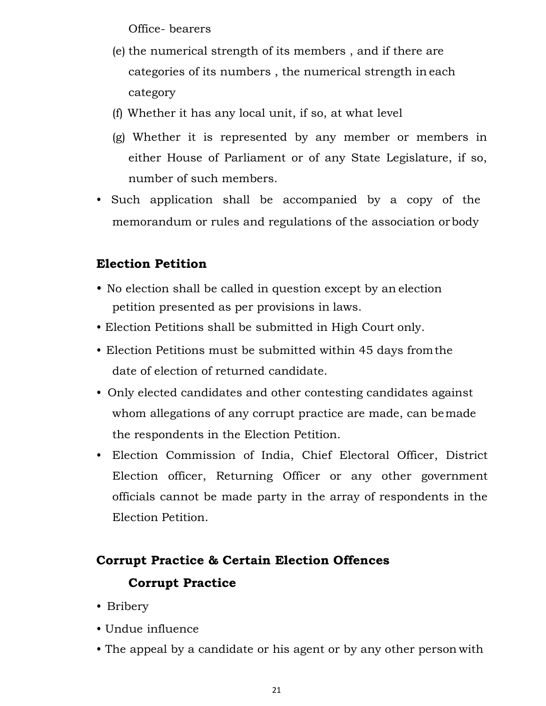Office- bearers

- (e) the numerical strength of its members , and if there are categories of its numbers , the numerical strength in each category
- (f) Whether it has any local unit, if so, at what level
- (g) Whether it is represented by any member or members in either House of Parliament or of any State Legislature, if so, number of such members.
- Such application shall be accompanied by a copy of the memorandum or rules and regulations of the association orbody

## **Election Petition**

- No election shall be called in question except by an election petition presented as per provisions in laws.
- Election Petitions shall be submitted in High Court only.
- Election Petitions must be submitted within 45 days fromthe date of election of returned candidate.
- Only elected candidates and other contesting candidates against whom allegations of any corrupt practice are made, can bemade the respondents in the Election Petition.
- Election Commission of India, Chief Electoral Officer, District Election officer, Returning Officer or any other government officials cannot be made party in the array of respondents in the Election Petition.

## **Corrupt Practice & Certain Election Offences**

### **Corrupt Practice**

- Bribery
- Undue influence
- The appeal by a candidate or his agent or by any other person with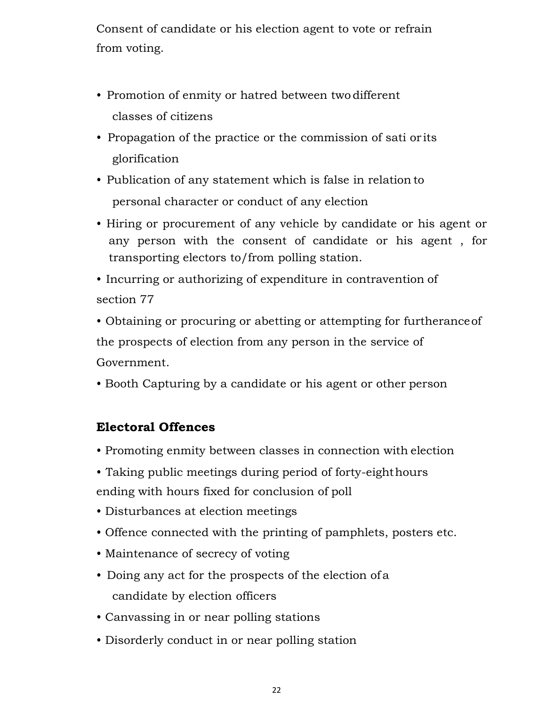Consent of candidate or his election agent to vote or refrain from voting.

- Promotion of enmity or hatred between two different classes of citizens
- Propagation of the practice or the commission of sati or its glorification
- Publication of any statement which is false in relation to personal character or conduct of any election
- Hiring or procurement of any vehicle by candidate or his agent or any person with the consent of candidate or his agent , for transporting electors to/from polling station.
- Incurring or authorizing of expenditure in contravention of section 77

• Obtaining or procuring or abetting or attempting for furtheranceof the prospects of election from any person in the service of Government.

• Booth Capturing by a candidate or his agent or other person

## **Electoral Offences**

- Promoting enmity between classes in connection with election
- Taking public meetings during period of forty-eighthours ending with hours fixed for conclusion of poll
- Disturbances at election meetings
- Offence connected with the printing of pamphlets, posters etc.
- Maintenance of secrecy of voting
- Doing any act for the prospects of the election of a candidate by election officers
- Canvassing in or near polling stations
- Disorderly conduct in or near polling station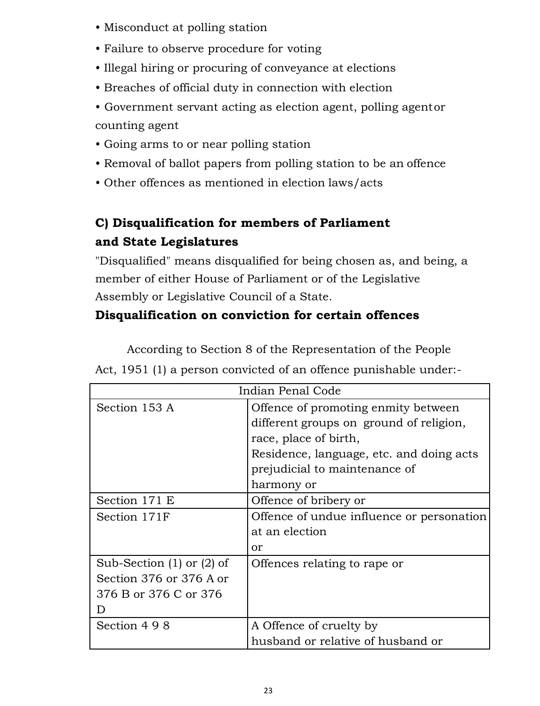- Misconduct at polling station
- Failure to observe procedure for voting
- Illegal hiring or procuring of conveyance at elections
- Breaches of official duty in connection with election
- Government servant acting as election agent, polling agentor counting agent
- Going arms to or near polling station
- Removal of ballot papers from polling station to be an offence
- Other offences as mentioned in election laws/acts

# **C) Disqualification for members of Parliament and State Legislatures**

"Disqualified" means disqualified for being chosen as, and being, a member of either House of Parliament or of the Legislative Assembly or Legislative Council of a State.

# **Disqualification on conviction for certain offences**

According to Section 8 of the Representation of the People

Act, 1951 (1) a person convicted of an offence punishable under:-

| Indian Penal Code             |                                           |  |  |  |
|-------------------------------|-------------------------------------------|--|--|--|
| Section 153 A                 | Offence of promoting enmity between       |  |  |  |
|                               | different groups on ground of religion,   |  |  |  |
|                               | race, place of birth,                     |  |  |  |
|                               | Residence, language, etc. and doing acts  |  |  |  |
|                               | prejudicial to maintenance of             |  |  |  |
|                               | harmony or                                |  |  |  |
| Section 171 E                 | Offence of bribery or                     |  |  |  |
| Section 171F                  | Offence of undue influence or personation |  |  |  |
|                               | at an election                            |  |  |  |
|                               | or                                        |  |  |  |
| Sub-Section $(1)$ or $(2)$ of | Offences relating to rape or              |  |  |  |
| Section 376 or 376 A or       |                                           |  |  |  |
| 376 B or 376 C or 376         |                                           |  |  |  |
| Ð                             |                                           |  |  |  |
| Section 498                   | A Offence of cruelty by                   |  |  |  |
|                               | husband or relative of husband or         |  |  |  |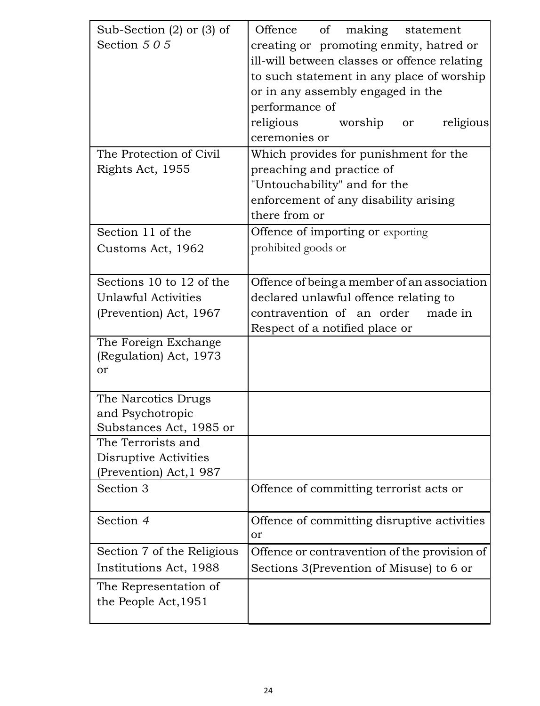| Sub-Section $(2)$ or $(3)$ of | making<br>Offence<br>$\circ$ f<br>statement  |  |  |
|-------------------------------|----------------------------------------------|--|--|
| Section $505$                 | creating or promoting enmity, hatred or      |  |  |
|                               | ill-will between classes or offence relating |  |  |
|                               | to such statement in any place of worship    |  |  |
|                               | or in any assembly engaged in the            |  |  |
|                               | performance of                               |  |  |
|                               | religious<br>religious<br>worship<br>or      |  |  |
|                               | ceremonies or                                |  |  |
| The Protection of Civil       | Which provides for punishment for the        |  |  |
| Rights Act, 1955              | preaching and practice of                    |  |  |
|                               | "Untouchability" and for the                 |  |  |
|                               | enforcement of any disability arising        |  |  |
|                               | there from or                                |  |  |
| Section 11 of the             | Offence of importing or exporting            |  |  |
| Customs Act, 1962             | prohibited goods or                          |  |  |
|                               |                                              |  |  |
| Sections 10 to 12 of the      | Offence of being a member of an association  |  |  |
| <b>Unlawful Activities</b>    | declared unlawful offence relating to        |  |  |
| (Prevention) Act, 1967        | contravention of an order<br>made in         |  |  |
|                               | Respect of a notified place or               |  |  |
| The Foreign Exchange          |                                              |  |  |
| (Regulation) Act, 1973        |                                              |  |  |
| or                            |                                              |  |  |
| The Narcotics Drugs           |                                              |  |  |
| and Psychotropic              |                                              |  |  |
| Substances Act, 1985 or       |                                              |  |  |
| The Terrorists and            |                                              |  |  |
| <b>Disruptive Activities</b>  |                                              |  |  |
| (Prevention) Act, 1987        |                                              |  |  |
| Section 3                     | Offence of committing terrorist acts or      |  |  |
|                               |                                              |  |  |
| Section 4                     | Offence of committing disruptive activities  |  |  |
|                               | <sub>or</sub>                                |  |  |
| Section 7 of the Religious    | Offence or contravention of the provision of |  |  |
| Institutions Act, 1988        | Sections 3(Prevention of Misuse) to 6 or     |  |  |
| The Representation of         |                                              |  |  |
| the People Act, 1951          |                                              |  |  |
|                               |                                              |  |  |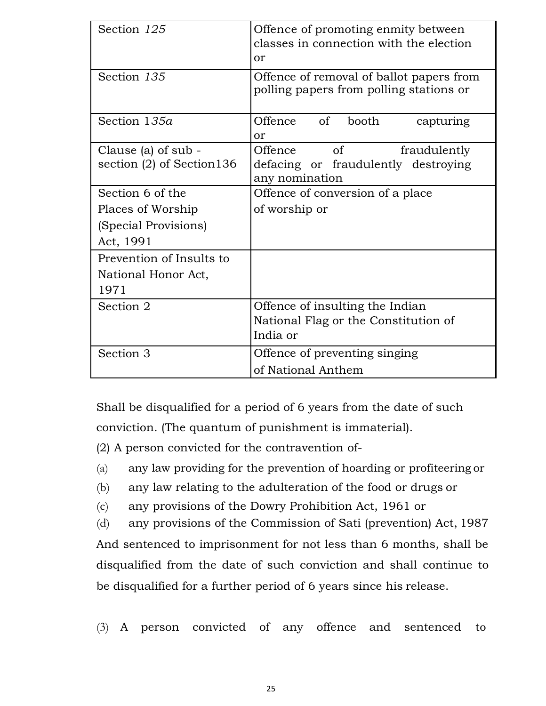| Section 125                                         | Offence of promoting enmity between<br>classes in connection with the election<br><sub>or</sub> |  |  |  |
|-----------------------------------------------------|-------------------------------------------------------------------------------------------------|--|--|--|
| Section 135                                         | Offence of removal of ballot papers from<br>polling papers from polling stations or             |  |  |  |
| Section 135a                                        | Offence of booth<br>capturing<br>or                                                             |  |  |  |
| Clause (a) of sub -<br>section $(2)$ of Section 136 | Offence<br>of<br>fraudulently<br>defacing or fraudulently destroying<br>any nomination          |  |  |  |
| Section 6 of the                                    | Offence of conversion of a place                                                                |  |  |  |
| Places of Worship                                   | of worship or                                                                                   |  |  |  |
| (Special Provisions)                                |                                                                                                 |  |  |  |
| Act, 1991                                           |                                                                                                 |  |  |  |
| Prevention of Insults to                            |                                                                                                 |  |  |  |
| National Honor Act,                                 |                                                                                                 |  |  |  |
| 1971                                                |                                                                                                 |  |  |  |
| Section 2                                           | Offence of insulting the Indian<br>National Flag or the Constitution of<br>India or             |  |  |  |
| Section 3                                           | Offence of preventing singing                                                                   |  |  |  |
|                                                     | of National Anthem                                                                              |  |  |  |

Shall be disqualified for a period of 6 years from the date of such conviction. (The quantum of punishment is immaterial).

(2) A person convicted for the contravention of-

- (a) any law providing for the prevention of hoarding or profiteering or
- (b) any law relating to the adulteration of the food or drugs or
- (c) any provisions of the Dowry Prohibition Act, 1961 or
- (d) any provisions of the Commission of Sati (prevention) Act, 1987

And sentenced to imprisonment for not less than 6 months, shall be disqualified from the date of such conviction and shall continue to be disqualified for a further period of 6 years since his release.

(3) A person convicted of any offence and sentenced to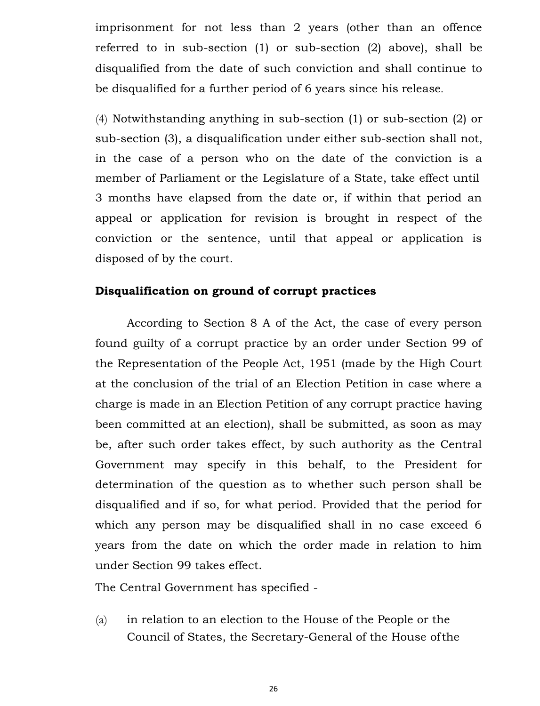imprisonment for not less than 2 years (other than an offence referred to in sub-section (1) or sub-section (2) above), shall be disqualified from the date of such conviction and shall continue to be disqualified for a further period of 6 years since his release.

(4) Notwithstanding anything in sub-section (1) or sub-section (2) or sub-section (3), a disqualification under either sub-section shall not, in the case of a person who on the date of the conviction is a member of Parliament or the Legislature of a State, take effect until 3 months have elapsed from the date or, if within that period an appeal or application for revision is brought in respect of the conviction or the sentence, until that appeal or application is disposed of by the court.

#### **Disqualification on ground of corrupt practices**

According to Section 8 A of the Act, the case of every person found guilty of a corrupt practice by an order under Section 99 of the Representation of the People Act, 1951 (made by the High Court at the conclusion of the trial of an Election Petition in case where a charge is made in an Election Petition of any corrupt practice having been committed at an election), shall be submitted, as soon as may be, after such order takes effect, by such authority as the Central Government may specify in this behalf, to the President for determination of the question as to whether such person shall be disqualified and if so, for what period. Provided that the period for which any person may be disqualified shall in no case exceed 6 years from the date on which the order made in relation to him under Section 99 takes effect.

The Central Government has specified -

(a) in relation to an election to the House of the People or the Council of States, the Secretary-General of the House ofthe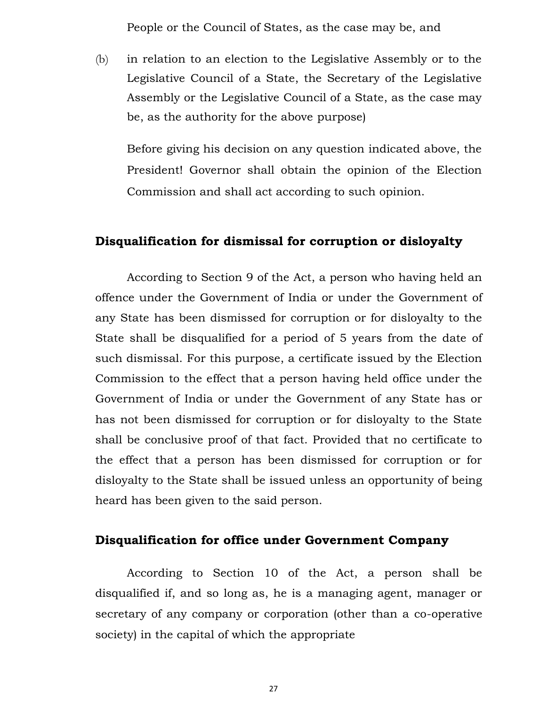People or the Council of States, as the case may be, and

(b) in relation to an election to the Legislative Assembly or to the Legislative Council of a State, the Secretary of the Legislative Assembly or the Legislative Council of a State, as the case may be, as the authority for the above purpose)

Before giving his decision on any question indicated above, the President! Governor shall obtain the opinion of the Election Commission and shall act according to such opinion.

#### **Disqualification for dismissal for corruption or disloyalty**

According to Section 9 of the Act, a person who having held an offence under the Government of India or under the Government of any State has been dismissed for corruption or for disloyalty to the State shall be disqualified for a period of 5 years from the date of such dismissal. For this purpose, a certificate issued by the Election Commission to the effect that a person having held office under the Government of India or under the Government of any State has or has not been dismissed for corruption or for disloyalty to the State shall be conclusive proof of that fact. Provided that no certificate to the effect that a person has been dismissed for corruption or for disloyalty to the State shall be issued unless an opportunity of being heard has been given to the said person.

#### **Disqualification for office under Government Company**

According to Section 10 of the Act, a person shall be disqualified if, and so long as, he is a managing agent, manager or secretary of any company or corporation (other than a co-operative society) in the capital of which the appropriate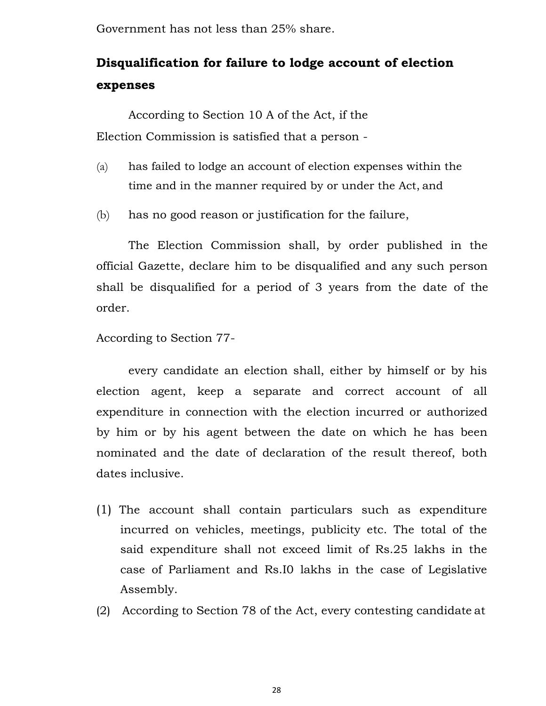Government has not less than 25% share.

# **Disqualification for failure to lodge account of election expenses**

According to Section 10 A of the Act, if the Election Commission is satisfied that a person -

- (a) has failed to lodge an account of election expenses within the time and in the manner required by or under the Act, and
- (b) has no good reason or justification for the failure,

The Election Commission shall, by order published in the official Gazette, declare him to be disqualified and any such person shall be disqualified for a period of 3 years from the date of the order.

#### According to Section 77-

every candidate an election shall, either by himself or by his election agent, keep a separate and correct account of all expenditure in connection with the election incurred or authorized by him or by his agent between the date on which he has been nominated and the date of declaration of the result thereof, both dates inclusive.

- (1) The account shall contain particulars such as expenditure incurred on vehicles, meetings, publicity etc. The total of the said expenditure shall not exceed limit of Rs.25 lakhs in the case of Parliament and Rs.I0 lakhs in the case of Legislative Assembly.
- (2) According to Section 78 of the Act, every contesting candidate at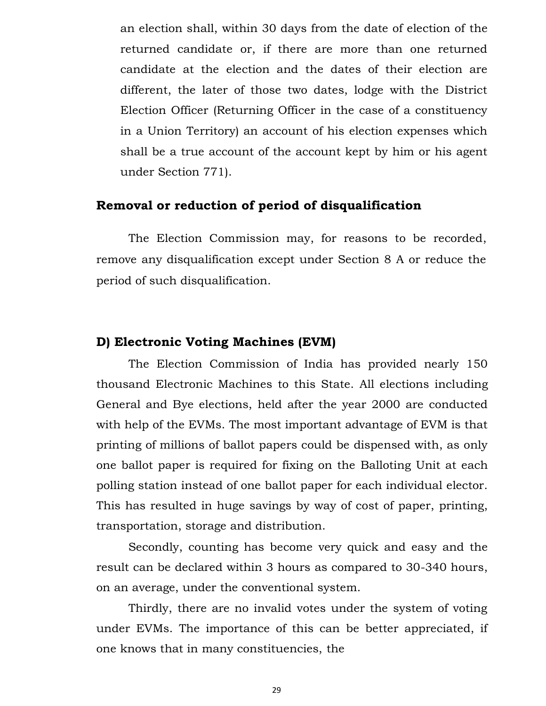an election shall, within 30 days from the date of election of the returned candidate or, if there are more than one returned candidate at the election and the dates of their election are different, the later of those two dates, lodge with the District Election Officer (Returning Officer in the case of a constituency in a Union Territory) an account of his election expenses which shall be a true account of the account kept by him or his agent under Section 771).

#### **Removal or reduction of period of disqualification**

The Election Commission may, for reasons to be recorded, remove any disqualification except under Section 8 A or reduce the period of such disqualification.

#### **D) Electronic Voting Machines (EVM)**

The Election Commission of India has provided nearly 150 thousand Electronic Machines to this State. All elections including General and Bye elections, held after the year 2000 are conducted with help of the EVMs. The most important advantage of EVM is that printing of millions of ballot papers could be dispensed with, as only one ballot paper is required for fixing on the Balloting Unit at each polling station instead of one ballot paper for each individual elector. This has resulted in huge savings by way of cost of paper, printing, transportation, storage and distribution.

Secondly, counting has become very quick and easy and the result can be declared within 3 hours as compared to 30-340 hours, on an average, under the conventional system.

Thirdly, there are no invalid votes under the system of voting under EVMs. The importance of this can be better appreciated, if one knows that in many constituencies, the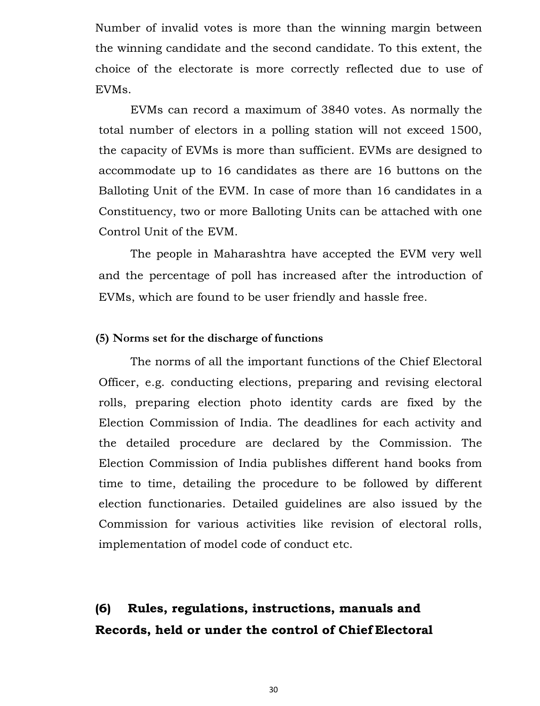Number of invalid votes is more than the winning margin between the winning candidate and the second candidate. To this extent, the choice of the electorate is more correctly reflected due to use of EVMs.

EVMs can record a maximum of 3840 votes. As normally the total number of electors in a polling station will not exceed 1500, the capacity of EVMs is more than sufficient. EVMs are designed to accommodate up to 16 candidates as there are 16 buttons on the Balloting Unit of the EVM. In case of more than 16 candidates in a Constituency, two or more Balloting Units can be attached with one Control Unit of the EVM.

The people in Maharashtra have accepted the EVM very well and the percentage of poll has increased after the introduction of EVMs, which are found to be user friendly and hassle free.

#### **(5) Norms set for the discharge of functions**

The norms of all the important functions of the Chief Electoral Officer, e.g. conducting elections, preparing and revising electoral rolls, preparing election photo identity cards are fixed by the Election Commission of India. The deadlines for each activity and the detailed procedure are declared by the Commission. The Election Commission of India publishes different hand books from time to time, detailing the procedure to be followed by different election functionaries. Detailed guidelines are also issued by the Commission for various activities like revision of electoral rolls, implementation of model code of conduct etc.

# **(6) Rules, regulations, instructions, manuals and Records, held or under the control of Chief Electoral**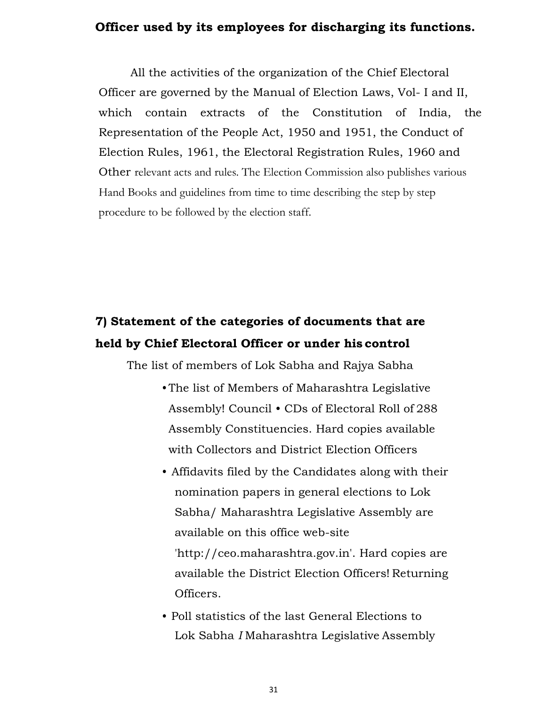#### **Officer used by its employees for discharging its functions.**

All the activities of the organization of the Chief Electoral Officer are governed by the Manual of Election Laws, Vol- I and II, which contain extracts of the Constitution of India, the Representation of the People Act, 1950 and 1951, the Conduct of Election Rules, 1961, the Electoral Registration Rules, 1960 and Other relevant acts and rules. The Election Commission also publishes various Hand Books and guidelines from time to time describing the step by step procedure to be followed by the election staff.

# **7) Statement of the categories of documents that are held by Chief Electoral Officer or under his control**

The list of members of Lok Sabha and Rajya Sabha

- •The list of Members of Maharashtra Legislative Assembly! Council • CDs of Electoral Roll of 288 Assembly Constituencies. Hard copies available with Collectors and District Election Officers
- Affidavits filed by the Candidates along with their nomination papers in general elections to Lok Sabha/ Maharashtra Legislative Assembly are available on this office web-site 'http://ceo.maharashtra.gov.in'. Hard copies are available the District Election Officers! Returning Officers.
- Poll statistics of the last General Elections to Lok Sabha *I* Maharashtra Legislative Assembly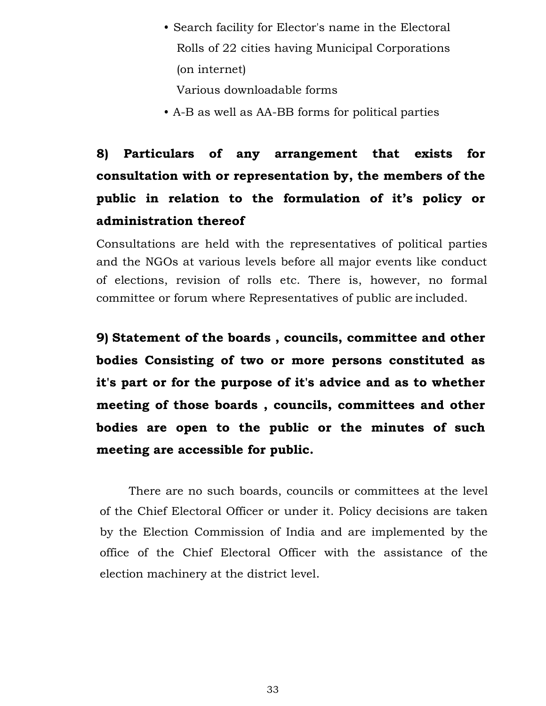• Search facility for Elector's name in the Electoral Rolls of 22 cities having Municipal Corporations (on internet)

Various downloadable forms

• A-B as well as AA-BB forms for political parties

# **8) Particulars of any arrangement that exists for consultation with or representation by, the members of the public in relation to the formulation of it's policy or administration thereof**

Consultations are held with the representatives of political parties and the NGOs at various levels before all major events like conduct of elections, revision of rolls etc. There is, however, no formal committee or forum where Representatives of public are included.

**9) Statement of the boards , councils, committee and other bodies Consisting of two or more persons constituted as it's part or for the purpose of it's advice and as to whether meeting of those boards , councils, committees and other bodies are open to the public or the minutes of such meeting are accessible for public.**

There are no such boards, councils or committees at the level of the Chief Electoral Officer or under it. Policy decisions are taken by the Election Commission of India and are implemented by the office of the Chief Electoral Officer with the assistance of the election machinery at the district level.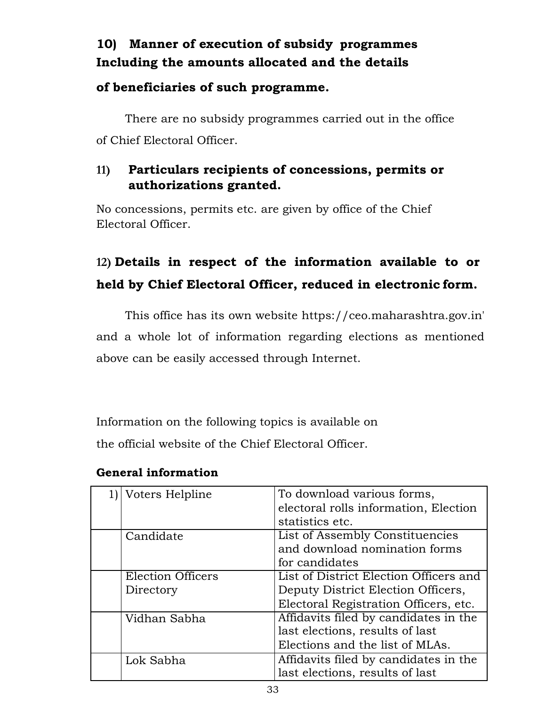# **10) Manner of execution of subsidy programmes Including the amounts allocated and the details**

## **of beneficiaries of such programme.**

There are no subsidy programmes carried out in the office of Chief Electoral Officer.

## **11) Particulars recipients of concessions, permits or authorizations granted.**

No concessions, permits etc. are given by office of the Chief Electoral Officer.

# **12) Details in respect of the information available to or held by Chief Electoral Officer, reduced in electronic form.**

This office has its own website https://ceo.maharashtra.gov.in' and a whole lot of information regarding elections as mentioned above can be easily accessed through Internet.

Information on the following topics is available on the official website of the Chief Electoral Officer.

### **General information**

| Voters Helpline                       | To download various forms,<br>electoral rolls information, Election<br>statistics etc.                                |
|---------------------------------------|-----------------------------------------------------------------------------------------------------------------------|
| Candidate                             | List of Assembly Constituencies<br>and download nomination forms<br>for candidates                                    |
| <b>Election Officers</b><br>Directory | List of District Election Officers and<br>Deputy District Election Officers,<br>Electoral Registration Officers, etc. |
| Vidhan Sabha                          | Affidavits filed by candidates in the<br>last elections, results of last<br>Elections and the list of MLAs.           |
| Lok Sabha                             | Affidavits filed by candidates in the<br>last elections, results of last                                              |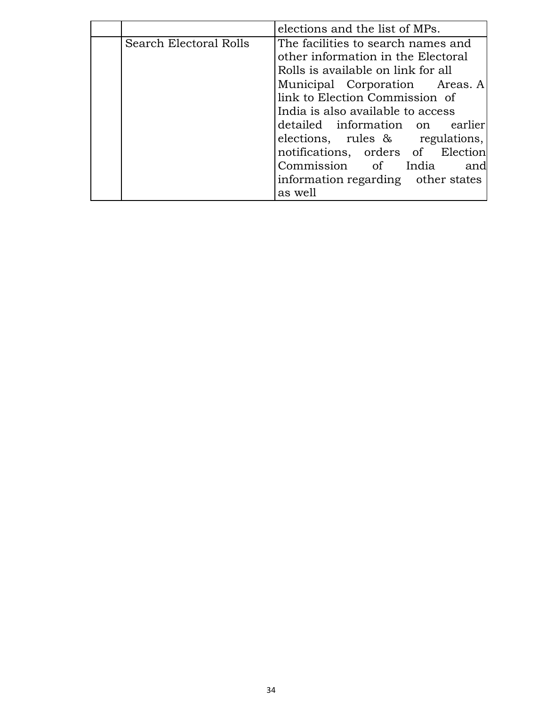|                        | elections and the list of MPs.     |  |  |
|------------------------|------------------------------------|--|--|
| Search Electoral Rolls | The facilities to search names and |  |  |
|                        | other information in the Electoral |  |  |
|                        | Rolls is available on link for all |  |  |
|                        | Municipal Corporation Areas. A     |  |  |
|                        | link to Election Commission of     |  |  |
|                        | India is also available to access  |  |  |
|                        | detailed information on earlier    |  |  |
|                        | elections, rules & regulations,    |  |  |
|                        | notifications, orders of Election  |  |  |
|                        | Commission of India<br>and         |  |  |
|                        | information regarding other states |  |  |
|                        | as well                            |  |  |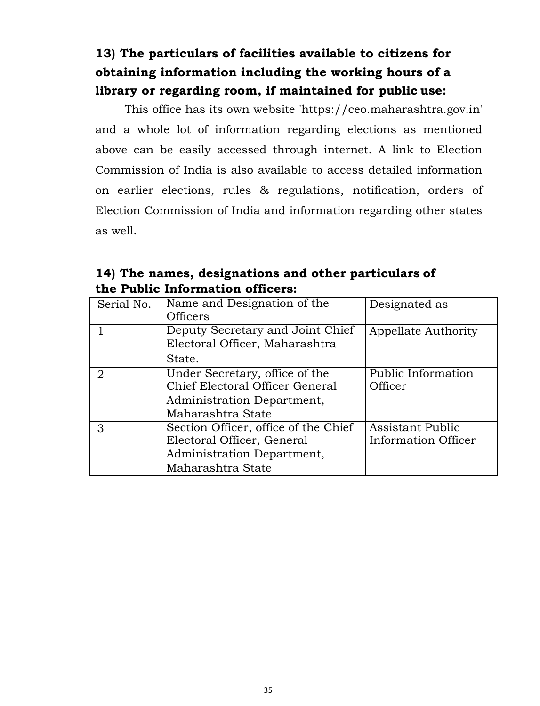# **13) The particulars of facilities available to citizens for obtaining information including the working hours of a library or regarding room, if maintained for public use:**

 This office has its own website 'https://ceo.maharashtra.gov.in' and a whole lot of information regarding elections as mentioned above can be easily accessed through internet. A link to Election Commission of India is also available to access detailed information on earlier elections, rules & regulations, notification, orders of Election Commission of India and information regarding other states as well.

|  | 14) The names, designations and other particulars of |  |  |
|--|------------------------------------------------------|--|--|
|  | the Public Information officers:                     |  |  |

| Serial No.     | Name and Designation of the<br><b>Officers</b>                                                                        | Designated as                           |
|----------------|-----------------------------------------------------------------------------------------------------------------------|-----------------------------------------|
|                | Deputy Secretary and Joint Chief<br>Electoral Officer, Maharashtra<br>State.                                          | Appellate Authority                     |
| $\overline{2}$ | Under Secretary, office of the<br>Chief Electoral Officer General<br>Administration Department,<br>Maharashtra State  | <b>Public Information</b><br>Officer    |
| 3              | Section Officer, office of the Chief<br>Electoral Officer, General<br>Administration Department,<br>Maharashtra State | Assistant Public<br>Information Officer |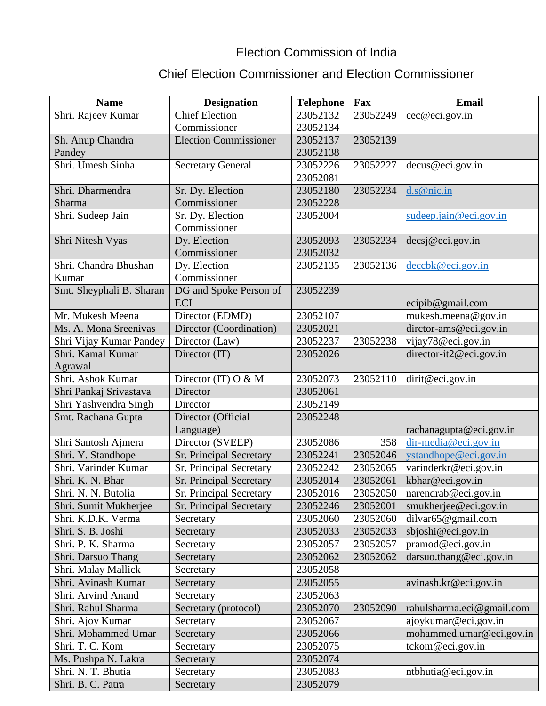# Election Commission of India

## Chief Election Commissioner and Election Commissioner

| <b>Name</b>              | <b>Designation</b>            | <b>Telephone</b> | Fax      | Email                     |
|--------------------------|-------------------------------|------------------|----------|---------------------------|
| Shri. Rajeev Kumar       | <b>Chief Election</b>         | 23052132         | 23052249 | cec@eci.gov.in            |
|                          | Commissioner                  | 23052134         |          |                           |
| Sh. Anup Chandra         | <b>Election Commissioner</b>  | 23052137         | 23052139 |                           |
| Pandey                   |                               | 23052138         |          |                           |
| Shri. Umesh Sinha        | <b>Secretary General</b>      | 23052226         | 23052227 | decus@eci.gov.in          |
|                          |                               | 23052081         |          |                           |
| Shri. Dharmendra         | Sr. Dy. Election              | 23052180         | 23052234 | d.s@nic.in                |
| Sharma                   | Commissioner                  | 23052228         |          |                           |
| Shri. Sudeep Jain        | Sr. Dy. Election              | 23052004         |          | sudeep. jain@eci.gov.in   |
|                          | Commissioner                  |                  |          |                           |
| Shri Nitesh Vyas         | Dy. Election                  | 23052093         | 23052234 | decis@eci.gov.in          |
| Shri. Chandra Bhushan    | Commissioner                  | 23052032         |          |                           |
| Kumar                    | Dy. Election<br>Commissioner  | 23052135         | 23052136 | decck@eci.gov.in          |
|                          |                               | 23052239         |          |                           |
| Smt. Sheyphali B. Sharan | DG and Spoke Person of<br>ECI |                  |          | ecipib@gmail.com          |
| Mr. Mukesh Meena         | Director (EDMD)               | 23052107         |          | mukesh.meena@gov.in       |
| Ms. A. Mona Sreenivas    | Director (Coordination)       | 23052021         |          | diretor-ams@eci.gov.in    |
| Shri Vijay Kumar Pandey  | Director (Law)                | 23052237         | 23052238 | vijay78@eci.gov.in        |
| Shri. Kamal Kumar        | Director (IT)                 | 23052026         |          | director-it2@eci.gov.in   |
| Agrawal                  |                               |                  |          |                           |
| Shri. Ashok Kumar        | Director (IT) $O & M$         | 23052073         | 23052110 | dirit@eci.gov.in          |
| Shri Pankaj Srivastava   | Director                      | 23052061         |          |                           |
| Shri Yashvendra Singh    | Director                      | 23052149         |          |                           |
| Smt. Rachana Gupta       | Director (Official            | 23052248         |          |                           |
|                          | Language)                     |                  |          | rachanagupta@eci.gov.in   |
| Shri Santosh Ajmera      | Director (SVEEP)              | 23052086         | 358      | $dir$ -media@eci.gov.in   |
| Shri. Y. Standhope       | Sr. Principal Secretary       | 23052241         | 23052046 | ystandhope@eci.gov.in     |
| Shri. Varinder Kumar     | Sr. Principal Secretary       | 23052242         | 23052065 | varinderkr@eci.gov.in     |
| Shri. K. N. Bhar         | Sr. Principal Secretary       | 23052014         | 23052061 | kbhar@eci.gov.in          |
| Shri. N. N. Butolia      | Sr. Principal Secretary       | 23052016         | 23052050 | narendrab@eci.gov.in      |
| Shri. Sumit Mukherjee    | Sr. Principal Secretary       | 23052246         | 23052001 | smukherjee@eci.gov.in     |
| Shri. K.D.K. Verma       | Secretary                     | 23052060         | 23052060 | dilvar $65@$ gmail.com    |
| Shri. S. B. Joshi        | Secretary                     | 23052033         | 23052033 | sbjoshi@eci.gov.in        |
| Shri. P. K. Sharma       | Secretary                     | 23052057         | 23052057 | pramod@eci.gov.in         |
| Shri. Darsuo Thang       | Secretary                     | 23052062         | 23052062 | darsuo.thang@eci.gov.in   |
| Shri. Malay Mallick      | Secretary                     | 23052058         |          |                           |
| Shri. Avinash Kumar      | Secretary                     | 23052055         |          | avinash.kr@eci.gov.in     |
| Shri. Arvind Anand       | Secretary                     | 23052063         |          |                           |
| Shri. Rahul Sharma       | Secretary (protocol)          | 23052070         | 23052090 | rahulsharma.eci@gmail.com |
| Shri. Ajoy Kumar         | Secretary                     | 23052067         |          | ajoykumar@eci.gov.in      |
| Shri. Mohammed Umar      | Secretary                     | 23052066         |          | mohammed.umar@eci.gov.in  |
| Shri. T. C. Kom          | Secretary                     | 23052075         |          | tckom@eci.gov.in          |
| Ms. Pushpa N. Lakra      | Secretary                     | 23052074         |          |                           |
| Shri. N. T. Bhutia       | Secretary                     | 23052083         |          | ntbhutia@eci.gov.in       |
| Shri. B. C. Patra        | Secretary                     | 23052079         |          |                           |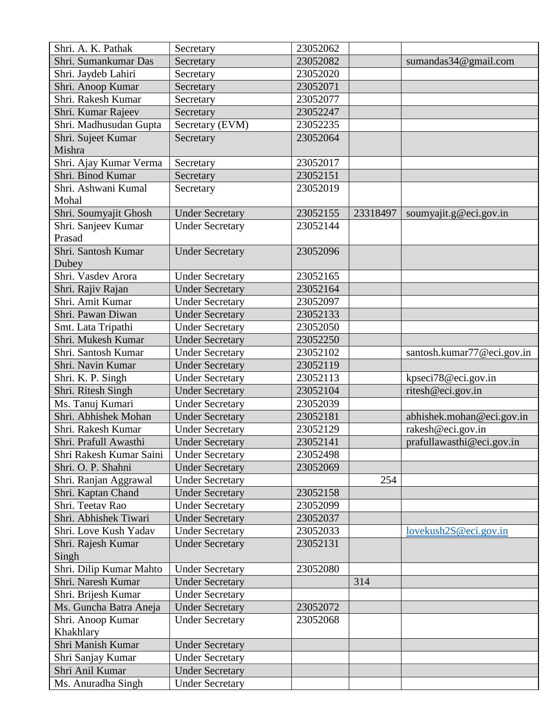| Shri. A. K. Pathak                       | Secretary              | 23052062 |          |                            |
|------------------------------------------|------------------------|----------|----------|----------------------------|
| Shri. Sumankumar Das                     | Secretary              | 23052082 |          | sumandas34@gmail.com       |
| Shri. Jaydeb Lahiri                      | Secretary              | 23052020 |          |                            |
| Shri. Anoop Kumar                        | Secretary              | 23052071 |          |                            |
| Shri. Rakesh Kumar                       | Secretary              | 23052077 |          |                            |
| Shri. Kumar Rajeev                       | Secretary              | 23052247 |          |                            |
| Shri. Madhusudan Gupta                   | Secretary (EVM)        | 23052235 |          |                            |
|                                          |                        |          |          |                            |
| Shri. Sujeet Kumar<br>Mishra             | Secretary              | 23052064 |          |                            |
| Shri. Ajay Kumar Verma                   | Secretary              | 23052017 |          |                            |
| Shri. Binod Kumar                        | Secretary              | 23052151 |          |                            |
| Shri. Ashwani Kumal                      | Secretary              | 23052019 |          |                            |
| Mohal                                    |                        |          |          |                            |
| Shri. Soumyajit Ghosh                    | <b>Under Secretary</b> | 23052155 | 23318497 | soumyajit.g@eci.gov.in     |
| Shri. Sanjeev Kumar                      | <b>Under Secretary</b> | 23052144 |          |                            |
| Prasad                                   |                        |          |          |                            |
| Shri. Santosh Kumar                      | <b>Under Secretary</b> | 23052096 |          |                            |
| Dubey                                    |                        |          |          |                            |
| Shri. Vasdev Arora                       | <b>Under Secretary</b> | 23052165 |          |                            |
| Shri. Rajiv Rajan                        | <b>Under Secretary</b> | 23052164 |          |                            |
| Shri. Amit Kumar                         | <b>Under Secretary</b> | 23052097 |          |                            |
| Shri. Pawan Diwan                        | <b>Under Secretary</b> | 23052133 |          |                            |
| Smt. Lata Tripathi                       | <b>Under Secretary</b> | 23052050 |          |                            |
| Shri. Mukesh Kumar                       | <b>Under Secretary</b> | 23052250 |          |                            |
| Shri. Santosh Kumar                      | <b>Under Secretary</b> | 23052102 |          | santosh.kumar77@eci.gov.in |
| Shri. Navin Kumar                        | <b>Under Secretary</b> | 23052119 |          |                            |
|                                          | <b>Under Secretary</b> | 23052113 |          |                            |
| Shri. K. P. Singh                        |                        |          |          | kpseci78@eci.gov.in        |
| Shri. Ritesh Singh                       | <b>Under Secretary</b> | 23052104 |          | ritesh@eci.gov.in          |
| Ms. Tanuj Kumari<br>Shri. Abhishek Mohan | <b>Under Secretary</b> | 23052039 |          |                            |
|                                          | <b>Under Secretary</b> | 23052181 |          | abhishek.mohan@eci.gov.in  |
| Shri. Rakesh Kumar                       | <b>Under Secretary</b> | 23052129 |          | rakesh@eci.gov.in          |
| Shri. Prafull Awasthi                    | <b>Under Secretary</b> | 23052141 |          | prafullawasthi@eci.gov.in  |
| Shri Rakesh Kumar Saini                  | <b>Under Secretary</b> | 23052498 |          |                            |
| Shri. O. P. Shahni                       | <b>Under Secretary</b> | 23052069 |          |                            |
| Shri. Ranjan Aggrawal                    | <b>Under Secretary</b> |          | 254      |                            |
| Shri. Kaptan Chand                       | <b>Under Secretary</b> | 23052158 |          |                            |
| Shri. Teetav Rao                         | <b>Under Secretary</b> | 23052099 |          |                            |
| Shri. Abhishek Tiwari                    | <b>Under Secretary</b> | 23052037 |          |                            |
| Shri. Love Kush Yadav                    | <b>Under Secretary</b> | 23052033 |          | lovekush2S@eci.gov.in      |
| Shri. Rajesh Kumar<br>Singh              | <b>Under Secretary</b> | 23052131 |          |                            |
| Shri. Dilip Kumar Mahto                  | <b>Under Secretary</b> | 23052080 |          |                            |
| Shri. Naresh Kumar                       | <b>Under Secretary</b> |          | 314      |                            |
| Shri. Brijesh Kumar                      | <b>Under Secretary</b> |          |          |                            |
| Ms. Guncha Batra Aneja                   | <b>Under Secretary</b> | 23052072 |          |                            |
| Shri. Anoop Kumar                        | <b>Under Secretary</b> | 23052068 |          |                            |
| Khakhlary                                |                        |          |          |                            |
| Shri Manish Kumar                        | <b>Under Secretary</b> |          |          |                            |
| Shri Sanjay Kumar                        | <b>Under Secretary</b> |          |          |                            |
| Shri Anil Kumar                          | <b>Under Secretary</b> |          |          |                            |
| Ms. Anuradha Singh                       | <b>Under Secretary</b> |          |          |                            |
|                                          |                        |          |          |                            |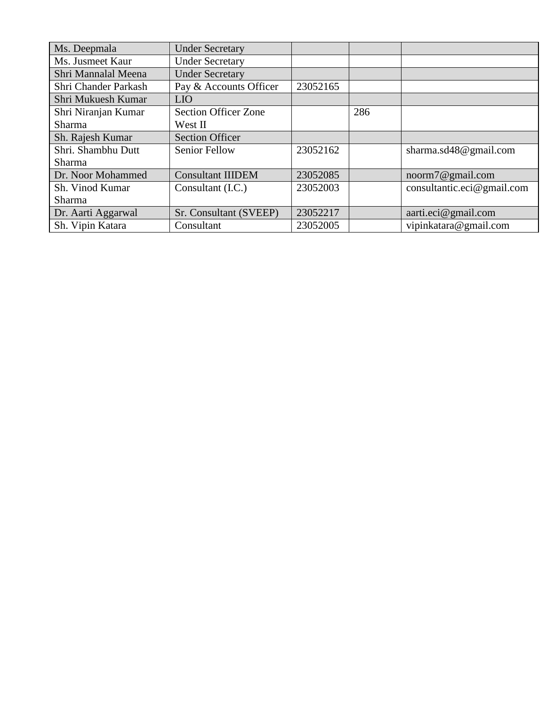| Ms. Deepmala         | <b>Under Secretary</b>      |          |     |                            |
|----------------------|-----------------------------|----------|-----|----------------------------|
| Ms. Jusmeet Kaur     | <b>Under Secretary</b>      |          |     |                            |
| Shri Mannalal Meena  | <b>Under Secretary</b>      |          |     |                            |
| Shri Chander Parkash | Pay & Accounts Officer      | 23052165 |     |                            |
| Shri Mukuesh Kumar   | <b>LIO</b>                  |          |     |                            |
| Shri Niranjan Kumar  | <b>Section Officer Zone</b> |          | 286 |                            |
| <b>Sharma</b>        | West II                     |          |     |                            |
| Sh. Rajesh Kumar     | <b>Section Officer</b>      |          |     |                            |
| Shri. Shambhu Dutt   | <b>Senior Fellow</b>        | 23052162 |     | sharma.sd48@gmail.com      |
| Sharma               |                             |          |     |                            |
| Dr. Noor Mohammed    | <b>Consultant IIIDEM</b>    | 23052085 |     | noorm7@gmail.com           |
| Sh. Vinod Kumar      | Consultant (I.C.)           | 23052003 |     | consultantic.eci@gmail.com |
| Sharma               |                             |          |     |                            |
| Dr. Aarti Aggarwal   | Sr. Consultant (SVEEP)      | 23052217 |     | aarti.eci@gmail.com        |
| Sh. Vipin Katara     | Consultant                  | 23052005 |     | vipinkatara@gmail.com      |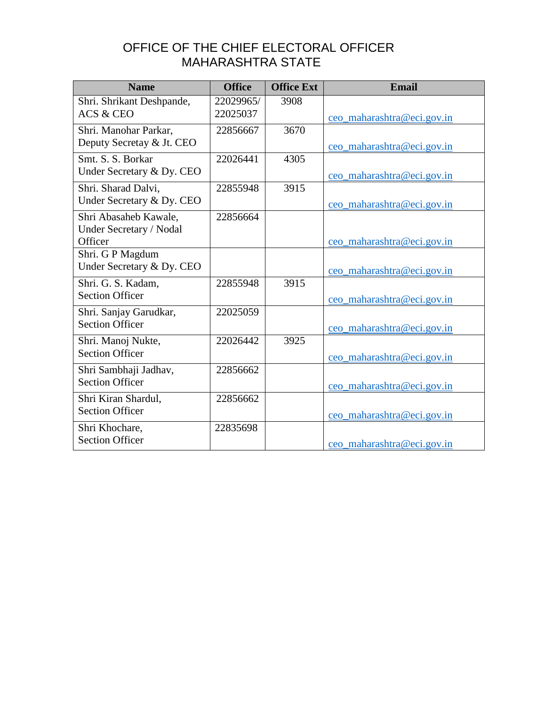## OFFICE OF THE CHIEF ELECTORAL OFFICER MAHARASHTRA STATE

| <b>Name</b>                                                        | <b>Office</b>         | <b>Office Ext</b> | <b>Email</b>               |
|--------------------------------------------------------------------|-----------------------|-------------------|----------------------------|
| Shri. Shrikant Deshpande,<br><b>ACS &amp; CEO</b>                  | 22029965/<br>22025037 | 3908              | ceo_maharashtra@eci.gov.in |
| Shri. Manohar Parkar,<br>Deputy Secretay & Jt. CEO                 | 22856667              | 3670              | ceo_maharashtra@eci.gov.in |
| Smt. S. S. Borkar<br>Under Secretary & Dy. CEO                     | 22026441              | 4305              | ceo_maharashtra@eci.gov.in |
| Shri. Sharad Dalvi,<br>Under Secretary & Dy. CEO                   | 22855948              | 3915              | ceo_maharashtra@eci.gov.in |
| Shri Abasaheb Kawale,<br><b>Under Secretary / Nodal</b><br>Officer | 22856664              |                   | ceo_maharashtra@eci.gov.in |
| Shri. G P Magdum<br>Under Secretary & Dy. CEO                      |                       |                   | ceo_maharashtra@eci.gov.in |
| Shri. G. S. Kadam,<br><b>Section Officer</b>                       | 22855948              | 3915              | ceo maharashtra@eci.gov.in |
| Shri. Sanjay Garudkar,<br><b>Section Officer</b>                   | 22025059              |                   | ceo_maharashtra@eci.gov.in |
| Shri. Manoj Nukte,<br><b>Section Officer</b>                       | 22026442              | 3925              | ceo_maharashtra@eci.gov.in |
| Shri Sambhaji Jadhav,<br><b>Section Officer</b>                    | 22856662              |                   | ceo_maharashtra@eci.gov.in |
| Shri Kiran Shardul,<br><b>Section Officer</b>                      | 22856662              |                   | ceo_maharashtra@eci.gov.in |
| Shri Khochare,<br><b>Section Officer</b>                           | 22835698              |                   | ceo_maharashtra@eci.gov.in |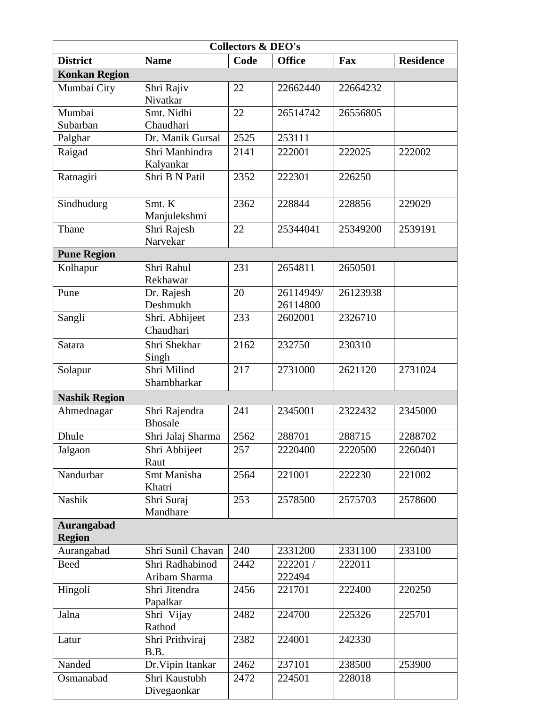| <b>Collectors &amp; DEO's</b>      |                                  |      |                       |          |                  |  |  |  |
|------------------------------------|----------------------------------|------|-----------------------|----------|------------------|--|--|--|
| <b>District</b>                    | <b>Name</b>                      | Code | <b>Office</b>         | Fax      | <b>Residence</b> |  |  |  |
| <b>Konkan Region</b>               |                                  |      |                       |          |                  |  |  |  |
| Mumbai City                        | Shri Rajiv                       | 22   | 22662440              | 22664232 |                  |  |  |  |
|                                    | Nivatkar                         |      |                       |          |                  |  |  |  |
| Mumbai                             | Smt. Nidhi                       | 22   | 26514742              | 26556805 |                  |  |  |  |
| Subarban                           | Chaudhari                        |      |                       |          |                  |  |  |  |
| Palghar                            | Dr. Manik Gursal                 | 2525 | $25311\overline{1}$   |          |                  |  |  |  |
| Raigad                             | Shri Manhindra<br>Kalyankar      | 2141 | 222001                | 222025   | 222002           |  |  |  |
| Ratnagiri                          | Shri B N Patil                   | 2352 | 222301                | 226250   |                  |  |  |  |
| Sindhudurg                         | Smt. K<br>Manjulekshmi           | 2362 | 228844                | 228856   | 229029           |  |  |  |
| Thane                              | Shri Rajesh<br>Narvekar          | 22   | 25344041              | 25349200 | 2539191          |  |  |  |
| <b>Pune Region</b>                 |                                  |      |                       |          |                  |  |  |  |
| Kolhapur                           | Shri Rahul<br>Rekhawar           | 231  | 2654811               | 2650501  |                  |  |  |  |
| Pune                               | Dr. Rajesh<br>Deshmukh           | 20   | 26114949/<br>26114800 | 26123938 |                  |  |  |  |
| Sangli                             | Shri. Abhijeet<br>Chaudhari      | 233  | 2602001               | 2326710  |                  |  |  |  |
| Satara                             | Shri Shekhar<br>Singh            | 2162 | 232750                | 230310   |                  |  |  |  |
| Solapur                            | Shri Milind<br>Shambharkar       | 217  | 2731000               | 2621120  | 2731024          |  |  |  |
| <b>Nashik Region</b>               |                                  |      |                       |          |                  |  |  |  |
| Ahmednagar                         | Shri Rajendra<br><b>Bhosale</b>  | 241  | 2345001               | 2322432  | 2345000          |  |  |  |
| Dhule                              | Shri Jalaj Sharma                | 2562 | 288701                | 288715   | 2288702          |  |  |  |
| Jalgaon                            | Shri Abhijeet<br>Raut            | 257  | 2220400               | 2220500  | 2260401          |  |  |  |
| Nandurbar                          | Smt Manisha<br>Khatri            | 2564 | 221001                | 222230   | 221002           |  |  |  |
| Nashik                             | Shri Suraj<br>Mandhare           | 253  | 2578500               | 2575703  | 2578600          |  |  |  |
| <b>Aurangabad</b><br><b>Region</b> |                                  |      |                       |          |                  |  |  |  |
| Aurangabad                         | Shri Sunil Chavan                | 240  | 2331200               | 2331100  | 233100           |  |  |  |
| <b>Beed</b>                        | Shri Radhabinod<br>Aribam Sharma | 2442 | 222201 /<br>222494    | 222011   |                  |  |  |  |
| Hingoli                            | Shri Jitendra<br>Papalkar        | 2456 | 221701                | 222400   | 220250           |  |  |  |
| Jalna                              | Shri Vijay<br>Rathod             | 2482 | 224700                | 225326   | 225701           |  |  |  |
| Latur                              | Shri Prithviraj<br>B.B.          | 2382 | 224001                | 242330   |                  |  |  |  |
| Nanded                             | Dr. Vipin Itankar                | 2462 | 237101                | 238500   | 253900           |  |  |  |
| Osmanabad                          | Shri Kaustubh<br>Divegaonkar     | 2472 | 224501                | 228018   |                  |  |  |  |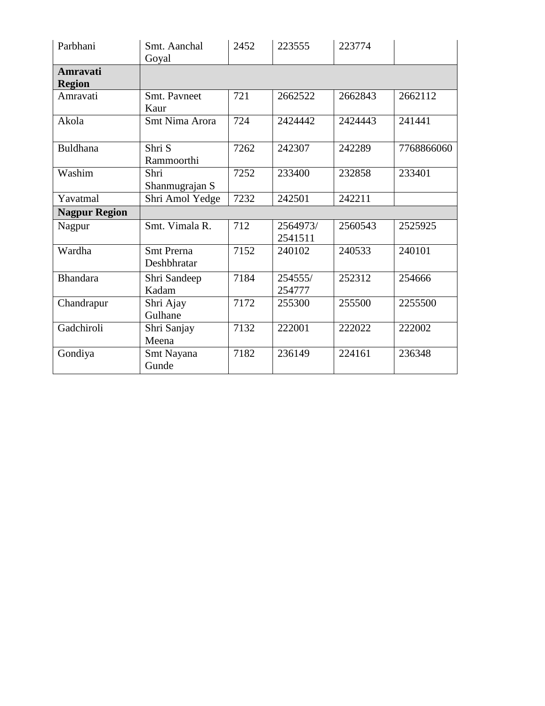| Parbhani                  | Smt. Aanchal<br>Goyal            | 2452 | 223555              | 223774  |            |
|---------------------------|----------------------------------|------|---------------------|---------|------------|
| Amravati<br><b>Region</b> |                                  |      |                     |         |            |
| Amravati                  | Smt. Pavneet<br>Kaur             | 721  | 2662522             | 2662843 | 2662112    |
| Akola                     | Smt Nima Arora                   | 724  | 2424442             | 2424443 | 241441     |
| Buldhana                  | Shri S<br>Rammoorthi             | 7262 | 242307              | 242289  | 7768866060 |
| Washim                    | Shri<br>Shanmugrajan S           | 7252 | 233400              | 232858  | 233401     |
| Yavatmal                  | Shri Amol Yedge                  | 7232 | 242501              | 242211  |            |
| <b>Nagpur Region</b>      |                                  |      |                     |         |            |
|                           |                                  |      |                     |         |            |
| Nagpur                    | Smt. Vimala R.                   | 712  | 2564973/<br>2541511 | 2560543 | 2525925    |
| Wardha                    | <b>Smt Prerna</b><br>Deshbhratar | 7152 | 240102              | 240533  | 240101     |
| <b>Bhandara</b>           | Shri Sandeep<br>Kadam            | 7184 | 254555/<br>254777   | 252312  | 254666     |
| Chandrapur                | Shri Ajay<br>Gulhane             | 7172 | 255300              | 255500  | 2255500    |
| Gadchiroli                | Shri Sanjay<br>Meena             | 7132 | 222001              | 222022  | 222002     |